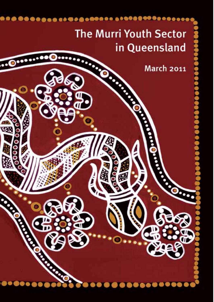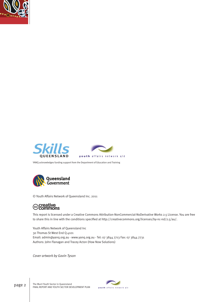







© Youth Affairs Network of Queensland Inc. 2011

# ©creative<br>©commons

This report is licensed under a Creative Commons Attribution-NonCommercial-NoDerivative Works 2.5 License. You are free to share this in line with the conditions specified at http://creativecommons.org/licenses/by-nc-nd/2.5/au/.

youth affairs network gld

Youth Affairs Network of Queensland Inc 30 Thomas St West End Q 4101 Email: admin@yanq.org.au - www.yanq.org.au - Tel: 07 3844 7713 Fax: 07 3844 7731 Authors: John Flanagan and Tracey Acton (How Now Solutions)

*Cover artwork by Gavin Tyson*



The Murri Youth Sector in Queensland page 2 | The Murri Youth Sector in Queensland<br>FINAL REPORT AND YOUTH SECTOR DEVELOPMENT PLAN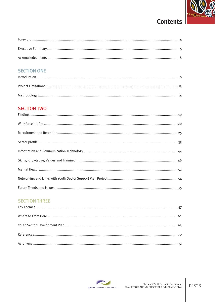

# **Contents**

## **SECTION ONE**

### **SECTION TWO**

### **SECTION THREE**

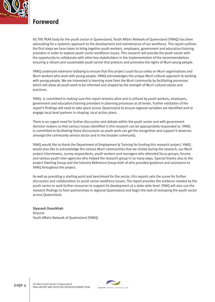

### **Foreword**

AS THE PEAK body for the youth sector in Queensland, Youth Affairs Network of Queensland (YANQ) has been advocating for a systemic approach to the development and maintenance of our workforce. This report outlines the first steps we have taken to bring together youth workers, employers, government and education/training providers in order to explore youth sector workforce issues. This research will provide the youth sector with the opportunity to collaborate with other key stakeholders in the implementation of the recommendations ensuring a vibrant and sustainable youth sector that protects and promotes the rights of Murri young people.

YANQ undertook extensive lobbying to ensure that this project could focus solely on Murri organisations and Murri workers who work with young people. YANQ acknowledges the unique Murri cultural approach to working with young people. We are interested in learning more from the Murri community by facilitating processes which will allow all youth work to be informed and shaped by the strength of Murri cultural values and practices.

YANQ is committed to making sure this report remains alive and is utilised by youth workers, employers, government and education/training providers in planning processes at all levels. Further validation of the report's findings will need to take place across Queensland to ensure regional variables are identified and to engage local level partners in shaping local action plans.

There is an urgent need for further discussion and debate within the youth sector and with government decision makers so that various issues identified in this research can be appropriately responded to. YANQ is committed to facilitating these discussions so youth work can get the recognition and support it deserves amongst the community service sector and in the broader community.

YANQ would like to thank the Department of Employment & Training for funding this research project. YANQ would also like to acknowledge the various Murri communities that we visited during the research, our Murri project interviewers, survey respondents, youth workers and managers who attended focus groups, forums and various youth inter-agencies who helped the research group in so many ways. Special thanks also to the project Steering Group and the Industry Reference Group both of who provided guidance and assistance to YANQ throughout the project.

As well as providing a starting point and benchmark for the sector, this reports sets the scene for further discussion and collaboration on youth sector workforce issues. The report provides the evidence needed by the youth sector to seek further resources to support its development at a state wide level. YANQ will also use the research findings to form partnerships in regional Queensland and begin the task of reshaping the youth sector across Queensland.

Siyavash Doostkhah Director Youth Affairs Network of Queensland (YANQ)

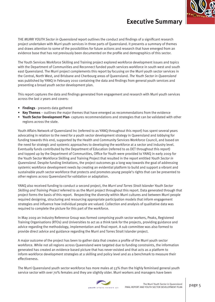

## **Executive Summary**

THE *MURRI YOUTH Sector in Queensland* report outlines the conduct and findings of a significant research project undertaken with Murri youth services in three parts of Queensland. It presents a summary of themes and draws attention to some of the possibilities for future actions and research that have emerged from an evidence base that has not previously been documented on the profile and demographics of this sector.

The Youth Services Workforce Skilling and Training project explored workforce development issues and topics with the Department of Communities and Reconnect funded youth services workforce in south west and south east Queensland. The Murri project complements this report by focusing on the Murri youth sector services in the Central, North West, and Brisbane and Cherbourg areas of Queensland. *The Youth Sector in Queensland* was published by YANQ in February 2010 containing the data and findings from general youth services and presenting a broad youth sector development plan.

This report captures the data and findings generated from engagement and research with Murri youth services across the last 2 years and covers:

- **Findings** presents data gathered
- **Key Themes** outlines the major themes that have emerged as recommendations from the evidence
- **Youth Sector Development Plan** captures recommendations and strategies that can be validated with other regions across the state.

Youth Affairs Network of Queensland Inc (referred to as YANQ throughout this report) has spent several years advocating in relation to the need for a youth sector development strategy in Queensland and lobbying for funding towards this end, supported by the Health and Community Services Workforce Council, and based on the need for strategic and systemic approaches to developing the workforce at a sector and industry level. Eventually funds contributed by the Department of Education (referred to as DET throughout this report) and topped up by the Department of Communities, Office for Youth were provided to YANQ in early 2009 for the Youth Sector Workforce Skilling and Training Project that resulted in the report entitled *Youth Sector in Queensland*. Despite funding limitations, the project outcomes go a long way towards the goal of addressing systemic workforce development needs by creating an evidential platform to build and support a vibrant and sustainable youth sector workforce that protects and promotes young people's rights that can be presented to other regions across Queensland for validation or adaptation.

YANQ also received funding to conduct a second project, the *Murri and Torres Strait Islander Youth Sector Skilling and Training Project* referred to as the Murri project throughout this report. Data generated through that project forms the basis of this report. Respecting the diversity within Murri cultures and between Murri people required designing, structuring and resourcing appropriate participation models that inform engagement strategies and influence how individual people are valued. Collection and analysis of qualitative data was required to complete the picture for this part of the workforce.

In May 2009 an Industry Reference Group was formed comprising youth sector workers, Peaks, Registered Training Organisations (RTOs) and Universities to act as a think tank for the projects, providing guidance and advice regarding the methodology, implementation and final report. A sub committee was also formed to provide direct advice and guidance regarding the Murri and Torres Strait Islander project.

A major outcome of the project has been to gather data that creates a profile of the Murri youth sector workforce. While not all regions across Queensland were targeted due to funding constraints, the information generated has created an evidence based picture that has never existed and that acts as a platform to inform workforce development strategies at a skilling and policy level and as a benchmark to measure their effectiveness.

The Murri Queensland youth sector workforce has more males at 53% than the highly feminised general youth service sector with over 70% females and they are slightly older. Murri workers and managers have been

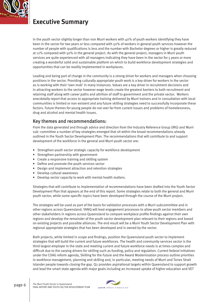

# **Executive Summary**

in the youth sector slightly longer than non Murri workers with 40% of youth workers identifying they have been in the sector for two years or less compared with 50% of workers in general youth services however the number of people with qualifications is less and the number with Bachelor degrees or higher is greatly reduced at 12% compared with 50% in the general project. As with the general project, managers in Murri youth services are quite experienced with all managers indicating they have been in the sector for 5 years or more creating a wonderful solid and sustainable platform on which to build workforce development strategies and opportunities that can be readily implemented in workplaces.

Leading and being part of change in the community is a strong driver for workers and managers when choosing positions in the sector. Providing culturally appropriate youth work is a key driver for workers in the sector as is working with their 'own mob' in many instances. Values are a key driver in recruitment decisions and in attracting workers to the sector however wage levels create the greatest barriers to both recruitment and retaining staff along with career paths and attrition of staff to government and the private sector. Workers anecdotally report that access to appropriate training delivered by Murri trainers and in consultation with local communities is limited or non existent and any future skilling strategies need to successfully incorporate these factors. Future themes for young people do not veer far from current issues and problems of homelessness, drug and alcohol and mental health issues.

### Key themes and recommendations:

From the data generated and through advice and direction from the Industry Reference Group (IRG) and Murri sub -committee a number of key strategies emerged that sit within the broad recommendations already outlined in the Youth Sector Development Plan. The recommendations that will contribute to and support development of the workforce in the general and Murri youth sector are:

- Strengthen youth sector strategic capacity for workforce development
- Strengthen partnership with government
- Create a responsive training and skilling system
- Define and promote the youth services sector
- Design and implement attraction and retention strategies
- Develop cultural awareness
- Develop sector capacity to work with mental health matters.

Strategies that will contribute to implementation of recommendations have been drafted into the Youth Sector Development Plan that appears at the end of this report. Some strategies relate to both the general and Murri youth sector, while some specific topics have been developed through the course of the Murri project.

The strategies will be used as part of the basis for validation processes with a Murri subcommittee and in other regions across Queensland. YANQ will lead engagement processes to allow youth sector members and other stakeholders in regions across Queensland to compare workplace profile findings against their own regions and develop the remainder of the youth sector development plan relevant to their regions and based on existing projects and possible alliances. The end result will be a Murri Youth Sector Development Plan with regional appropriate strategies that has been developed and is owned by the sector.

Both projects, while limited in scope and findings, position the Queensland youth sector to implement strategies that will build the current and future workforces. The health and community services sector is the third largest employer in the state and meeting current and future workforce needs is at times complex and difficult due to the varying drivers for skilling such as funding, policy and regulation. Current federal initiatives under the COAG reform agenda, Skilling for the Future and the Award Modernisation process outline priorities in workforce management, planning and skilling and, in particular, meeting needs of Murri and Torres Strait Islander people towards closing the gap. Q2 provides aspirational targets within Queensland to support growth and lead the smart state agenda with major goals including an increased uptake of higher education and VET

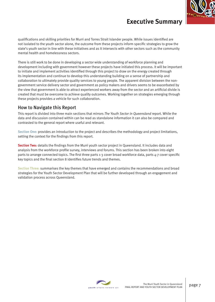## **Executive Summary**



qualifications and skilling priorities for Murri and Torres Strait Islander people. While issues identified are not isolated to the youth sector alone, the outcome from these projects inform specific strategies to grow the state's youth sector in line with these initiatives and as it intersects with other sectors such as the community mental health and homelessness sectors.

There is still work to be done in developing a sector wide understanding of workforce planning and development including with government however these projects have initiated this process. It will be important to initiate and implement activities identified through this project to draw on the energy created through its implementation and continue to develop this understanding building on a sense of partnership and collaboration to ultimately provide quality services to young people. The apparent division between the nongovernment service delivery sector and government as policy makers and drivers seems to be exacerbated by the view that government is able to attract experienced workers away from the sector and an artificial divide is created that must be overcome to achieve quality outcomes. Working together on strategies emerging through these projects provides a vehicle for such collaboration.

### How to Navigate this Report

This report is divided into three main sections that mirrors *The Youth Sector in Queensland* report. While the data and discussion contained within can be read as standalone information it can also be compared and contrasted to the general report where useful and relevant.

**Section One:** provides an introduction to the project and describes the methodology and project limitations, setting the context for the findings from this report.

**Section Two:** details the findings from the Murri youth sector project in Queensland. It includes data and analysis from the workforce profile survey, interviews and forums. This section has been broken into eight parts to arrange connected topics. The first three parts 1-3 cover broad workforce data, parts 4-7 cover specific key topics and the final section 8 identifies future trends and themes.

**Section Three:** summarises the key themes that have emerged and contains the recommendations and broad strategies for the Youth Sector Development Plan that will be further developed through an engagement and validation process across Queensland.

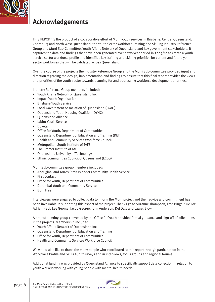

# **Acknowledgements**

THIS REPORT IS the product of a collaborative effort of Murri youth services in Brisbane, Central Queensland, Cherbourg and North West Queensland, the Youth Sector Workforce Training and Skilling Industry Reference Group and Murri Sub-Committee, Youth Affairs Network of Queensland and key government stakeholders. It captures the data and findings that have been generated over a two year period in 2009/10 to create a youth service sector workforce profile and identifies key training and skilling priorities for current and future youth sector workforces that will be validated across Queensland.

Over the course of the projects the Industry Reference Group and the Murri Sub-Committee provided input and direction regarding the design, implementation and findings to ensure that this final report provides the views and priorities of the youth sector towards planning for and addressing workforce development priorities.

Industry Reference Group members included:

- Youth Affairs Network of Queensland Inc
- Impact Youth Organisation
- Brisbane Youth Service
- Local Government Association of Queensland (LGAQ)
- Queensland Youth Housing Coalition (QYHC)
- Queensland Alliance
- Jabiru Youth Services
- Dovetail
- Office for Youth, Department of Communities
- Queensland Department of Education and Training (DET)
- Health and Community Services Workforce Council
- Metropolitan South Institute of TAFE
- The Bremer Institute of TAFE
- Queensland University of Technology
- Ethnic Communities Council of Queensland (ECCQ)

Murri Sub-Committee group members included:

- Aboriginal and Torres Strait Islander Community Health Service
- First Contact
- Office for Youth, Department of Communities
- Darumbal Youth and Community Services
- Born Free

Interviewers were engaged to collect data to inform the Murri project and their advice and commitment has been invaluable in supporting this aspect of the project. Thanks go to Suzanne Thompson, Fred Binge, Sue Fox, Adrian Hepi, Lee George, Jacob George, John Anderson, Del Daly and Laurel Blow.

A project steering group convened by the Office for Youth provided formal guidance and sign-off of milestones in the projects. Membership included:

- Youth Affairs Network of Queensland Inc
- Queensland Department of Education and Training
- Office for Youth, Department of Communities
- Health and Community Services Workforce Council

We would also like to thank the many people who contributed to this report through participation in the Workplace Profile and Skills Audit Surveys and in interviews, focus groups and regional forums.

Additional funding was provided by Queensland Alliance to specifically support data collection in relation to youth workers working with young people with mental health needs.

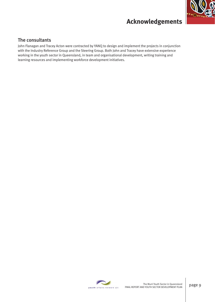

# **Acknowledgements**

### The consultants

John Flanagan and Tracey Acton were contracted by YANQ to design and implement the projects in conjunction with the Industry Reference Group and the Steering Group. Both John and Tracey have extensive experience working in the youth sector in Queensland, in team and organisational development, writing training and learning resources and implementing workforce development initiatives.

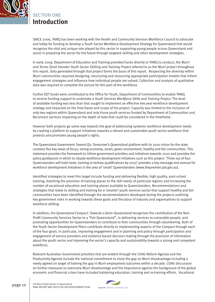

## SECTION ONE **Introduction**

SINCE 2006, YANQ has been working with the Health and Community Services Workforce Council to advocate and lobby for funding to develop a Youth Sector Workforce Development Strategy for Queensland that would recognise the vital and unique role played by this sector in supporting young people across Queensland and assist in preparing the sector for the future through targeted skilling and other development strategies.

In early 2009, Department of Education and Training provided funds directly to YANQ to conduct, the *Murri and Torres Strait Islander Youth Sector Skilling and Training Project* referred to as the Murri project throughout this report. Data generated through that project forms the basis of this report. Respecting the diversity within Murri communities required designing, structuring and resourcing appropriate participation models that inform engagement strategies and influence how individual people are valued. Collection and analysis of qualitative data was required to complete the picture for this part of the workforce.

Further DET funds were contributed to the Office for Youth, Department of Communities to enable YANQ to receive funding support to undertake a *Youth Services Workforce Skills and Training Project*. The level of available funding was less than that sought to implement an effective two year workforce development strategy and impacted on the time frame and scope of the project. Capacity was limited to the inclusion of only two regions within Queensland and only those youth services funded by Department of Communities and Reconnect services impacting on the depth of data that could be considered in the timeframe.

However both projects go some way towards the goal of addressing systemic workforce development needs by creating a platform to support initiatives towards a vibrant and sustainable youth sector workforce that protects and promotes young people's rights.

The Queensland Government *Toward Q2: Tomorrow's Queensland* platform with its 2020 vision for the state contains five key areas of focus; strong economy, smart, green environment, healthy and fair communities. This statement provides the framework to inform government priorities and initiatives towards 2020 and provides the policy guideposts in which to situate workforce development initiatives such as this project. 'Three out of four Queenslanders will hold trade, training or tertiary qualifications by 2020' provides a key message and avenue for workforce development initiatives in the area of 'smart' Queenslanders (www.thepremier.qld.gov.au).

Identified strategies to meet this target include funding and delivering flexible, high quality, post-school training, matching the provision of training places to the skill needs of particular regions and increasing the number of vocational education and training places available to Queenslanders. Recommendations and strategies that relate to skilling and training for a 'smarter' youth services sector that support healthy and fair communities have been identified through the recommendations developed during the projects outlining key government roles in working towards these goals and the place of industry and organisations to support workforce skilling.

In addition, the *Queensland Compact: Towards a fairer Queensland* recognises the contribution of the Non-Profit Community Services Sector to a "Fair Queensland", in delivering services to vulnerable people, and promoting opportunities for Queenslanders to contribute to their communities through volunteering. Both of the Youth Sector Development Plans contribute directly to implementing aspects of the Compact through each of the four goals. In particular, improving engagement and in planning and policy through participation and engagement of service providers and evidence based decision making through the provision of information about the youth sector and improving the sector's capacity and sustainability towards a strong and competent workforce.

Relevant Australian Government priorities that are evident through the COAG Reform Agenda and the Productivity Agenda include the national commitment to close the gap on Murri disadvantage including a newly agreed on target of halving the gap in Murri employment outcomes within a decade. COAG discussion on further measures to overcome Murri disadvantage and the importance against the background of the global economic and financial crises have included bolstering education, training and re-training efforts. Vocational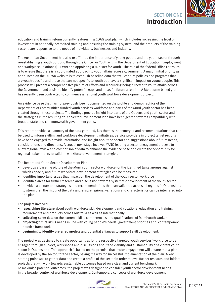

education and training reform currently features in a COAG workplan which includes increasing the level of investment in nationally-accredited training and ensuring the training system, and the products of the training system, are responsive to the needs of individuals, businesses and industry.

The Australian Government has also re-affirmed the importance of young people and the youth sector through re-establishing a youth portfolio through the Office For Youth within the Department of Education, Employment and Workplace Relations (DEEWR) and appointing a Minister for Youth. The role of the federal Office For Youth is to ensure that there is a coordinated approach to youth affairs across government. A major initial priority as announced on the DEEWR website is to establish baseline data that will capture policies and programs that are youth-specific and those that are not specific to youth but have a significant impact on young people. This process will present a comprehensive picture of efforts and resourcing being directed to youth affairs across the Government and assist to identify potential gaps and areas for future attention. A Melbourne based group has recently been contracted to commence a national youth workforce development project.

An evidence base that has not previously been documented on the profile and demographics of the Department of Communities funded youth services workforce and parts of the Murri youth sector has been created through these projects. The findings provide insight into parts of the Queensland youth sector and the strategies in the resulting Youth Sector Development Plan have been geared towards compatibility with broader state and commonwealth government goals.

This report provides a summary of the data gathered, key themes that emerged and recommendations that can be used to inform skilling and workforce development initiatives. Service providers in project target regions have been engaged to provide information and insight about the sector and suggestions about future needs, considerations and directions. A crucial next stage involves YANQ leading a sector engagement process to allow regional review and comparison of data to enhance the evidence base and create the opportunity for regional stakeholders to validate workforce development strategies.

The Report and Youth Sector Development Plan:

- develops a baseline picture of the Murri youth sector workforce for the identified target groups against which capacity and future workforce development strategies can be measured
- identifies important issues that impact on the development of the youth sector workforce
- identifies areas for further research and discussion towards systematic development of the youth sector
- provides a picture and strategies and recommendations that can validated across all regions in Queensland to strengthen the rigour of the data and ensure regional variations and characteristics can be integrated into the plan.

The project involved:

- **researching literature** about youth workforce skill development and vocational education and training requirements and products across Australia as well as internationally;
- **collecting some data** on the current skills, competencies and qualifications of Murri youth workers
- **projecting future skills** needs in line with young people's needs, government priorities and contemporary practice frameworks;
- **beginning to identify preferred models** and potential alliances to support skill development.

The project was designed to create opportunities for the respective targeted youth services' workforce to be engaged through surveys, workshops and discussions about the viability and sustainability of a vibrant youth sector in Queensland. This approach is based on the premise that sector engagement will ensure that a plan is developed by the sector, for the sector, paving the way for successful implementation of the plan. A key starting point was to gather data and create a profile of the sector in order to level further research and initiate projects that will work towards sustainable outcomes based on a clear and current benchmark. To maximise potential outcomes, the project was designed to consider youth sector development needs in the broader context of workforce development. Contemporary concepts of workforce development

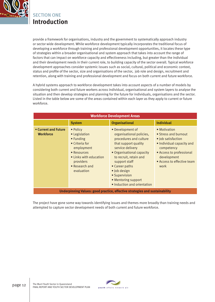

## **SECTION ONE Introduction**

provide a framework for organisations, industry and the government to systematically approach industry or sector wide development. While workforce development typically incorporates the traditional focus of developing a workforce through training and professional development opportunities, it locates these type of strategies within a broader organisational and system approach that takes into account the range of factors that can impact on workforce capacity and effectiveness including, but greater than the individual and their development needs in their current role, to building capacity of the sector overall. Typical workforce development approaches consider systemic issues such as social, cultural, political and economic context, status and profile of the sector, size and organisations of the sector, job role and design, recruitment and retention, along with training and professional development and focus on both current and future workforce.

A hybrid systems approach to workforce development takes into account aspects of a number of models by considering both current and future workers across individual, organisational and system layers to analyse the situation and then develop strategies and planning for the future for individuals, organisations and the sector. Listed in the table below are some of the areas contained within each layer as they apply to current or future workforce.

| <b>Workforce Development Areas</b>       |                                                                                                                                                              |                                                                                                                                                                                                                                                                                                     |                                                                                                                                                                                        |  |  |  |  |
|------------------------------------------|--------------------------------------------------------------------------------------------------------------------------------------------------------------|-----------------------------------------------------------------------------------------------------------------------------------------------------------------------------------------------------------------------------------------------------------------------------------------------------|----------------------------------------------------------------------------------------------------------------------------------------------------------------------------------------|--|--|--|--|
|                                          | <b>System</b>                                                                                                                                                | <b>Organisational</b>                                                                                                                                                                                                                                                                               | <b>Individual</b>                                                                                                                                                                      |  |  |  |  |
| • Current and Future<br><b>Workforce</b> | • Policy<br>• Legislation<br>• Funding<br>• Criteria for<br>employment<br>• Resources<br>• Links with education<br>providers<br>• Research and<br>evaluation | • Development of<br>organisational policies,<br>procedures and culture<br>that support quality<br>service delivery<br>• Organisational capacity<br>to recruit, retain and<br>support staff<br>• Career paths<br>• Job design<br>• Supervision<br>• Mentoring support<br>· Induction and orientation | • Motivation<br>• Stress and burnout<br>• Job satisfaction<br>• Individual capacity and<br>competency<br>• Access to professional<br>development<br>• Access to effective team<br>work |  |  |  |  |
|                                          |                                                                                                                                                              | Underpinning Values: good practice, effective strategies and sustainability                                                                                                                                                                                                                         |                                                                                                                                                                                        |  |  |  |  |

The project have gone some way towards identifying issues and themes more broadly than training needs and attempted to capture sector development needs of both current and future workforce.

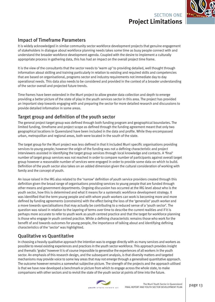## SECTION ONE **Project Limitations**



### Impact of Timeframe Parameters

It is widely acknowledged in similar community sector workforce development projects that genuine engagement of stakeholders in dialogue about workforce planning needs takes some time as busy people connect with and understand the broader workforce development agenda. Coupled with the desire to implement a culturally appropriate process in gathering data, this has had an impact on the overall project time frame.

It is the view of the consultants that the sector needs to 'warm up' to providing detailed, well thought through information about skilling and training particularly in relation to existing and required skills and competencies that are based on organisational, programs sector and industry requirements not immediate day to day operational needs. This data also needs to be considered and provided in the context of a broader understanding of the sector overall and projected future trends.

Time frames have been extended in the Murri project to allow greater data collection and depth to emerge providing a better picture of the state of play in the youth services sector in this area. The project has provided an important step towards engaging with and preparing the sector for more detailed research and discussions to provide detailed information in some areas.

### Target group and definition of the youth sector

The general project target group was defined through both funding program and geographical boundaries. The limited funding, timeframe and project scope as defined through the funding agreement meant that only two geographical locations in Queensland have been included in the data and profile. While they encompassed urban, metropolitan and regional areas, both were located in the south of the state.

The target group for the Murri project was less defined in that it included Murri specific organisations providing services to young people; however the origin of the funding was not a defining characteristic and project interviewers assisted in identifying the target group services through local knowledge and contacts. A 'final' number of target group services was not reached in order to compare number of participants against overall target group however a reasonable number of services were engaged in order to provide some data on which to build. Definition of the youth sector also takes on an added dimension given the cultural consideration of working with family and the concept of youth.

An issue raised in the IRG also related to the 'narrow' definition of youth service providers created through this definition given the broad range of organisations providing services to young people that are funded through other means and government departments. Ongoing discussion has occurred at the IRG level about who is the youth sector, how this is determined and what it means for a systematic workforce development strategy. It was identified that the term young people and with whom youth workers can work is becoming more and more defined by funding agreements (constraints) with the effect being the loss of the 'generalist' youth worker and a move towards specialisations that may actually be contributing to a reduced sense of a 'youth sector'. The question was raised in relation to the layering of terms over time to describe the current realities and if it is perhaps more accurate to refer to youth work as youth centred practice and that the target for workforce planning is those who engage in youth centred practice. While a defining characteristic remains those who work for the benefit of and towards outcomes for young people, the importance of talking about and identifying defining characteristics of the 'sector' was highlighted.

### Qualitative vs Quantitative

In choosing a heavily qualitative approach the intention was to engage directly with as many services and workers as possible to reveal existing experiences and practices in the youth sector workforce. This approach provides insight and thematic 'grabs' however it is of course impossible to generalise the experiences of all workers in the youth sector. An emphasis of this research design, and the subsequent analysis, is that diversity matters and targeted mechanisms may provide voice to some key areas that may not emerge through a generalised quantitative approach. The outcome however remains a somewhat subjective picture. The strength of the projects and the approach utilised is that we have now developed a benchmark or picture from which to engage across the whole state, to make comparisons with other sectors and to revisit the state of the youth sector at points of time into the future.

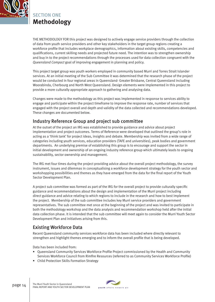

THE METHODOLOGY FOR this project was designed to actively engage service providers through the collection of data from youth service providers and other key stakeholders in the target group regions creating a workforce profile that includes workplace demographics, information about existing skills, competencies and qualifications, current skilling needs and projected future need. The intention was to strengthen ownership and buy in to the project recommendations through the processes used for data collection congruent with the *Queensland Compact* goal of improving engagement in planning and policy.

This project target group was youth workers employed in community based Murri and Torres Strait Islander services. At an initial meeting of the Sub Committee it was determined that the research phase of the project would be conducted in four regional areas in Queensland- Greater Brisbane, Central Queensland including Woorabinda, Cherbourg and North West Queensland. Design elements were implemented in this project to provide a more culturally appropriate approach to gathering and analysing data.

Changes were made to the methodology as this project was implemented in response to services ability to engage and participate within the project timeframe to improve the response rate, number of services that engaged with the project overall and depth and validity of the data collected and recommendations developed. These changes are documented below.

### Industry Reference Group and project sub committee

At the outset of the project an IRG was established to provide guidance and advice about project implementation and project outcomes. Terms of Reference were developed that outlined the group's role in acting as a 'think tank' for project ideas, insights and debate. Membership was invited from a wide range of categories including youth services, education providers (TAFE and universities), peak bodies and government departments. An underlying premise of establishing this group is to encourage and support the sector in initial development and ownership of an ongoing industry reference group which ultimately leads to ongoing sustainability, sector ownership and management.

The IRG met four times during the project providing advice about the overall project methodology, the survey instrument, issues and dilemmas in conceptualising a workforce development strategy for the youth sector and workshopping possibilities and themes as they have emerged from the data for the final report of the Youth Sector Development Plan.

A project sub committee was formed as part of the IRG for the overall project to provide culturally specific guidance and recommendations about the design and implementation of the Murri project including direct guidance and advice relating to which regions to include in the research and how to best implement the project. Membership of the sub committee includes key Murri service providers and government representatives. The sub committee met once at the beginning of the project and was invited to participate in both the methodology workshop and the data analysis and recommendation workshop held after the initial data collection phase. It is intended that the sub committee will meet again to consider the Murri Youth Sector Development Plan and initiatives arising from this.

### Existing Workforce Data

Recent Queensland community services workforce data has been included where directly relevant to strengthen and highlight themes emerging and to inform the overall profile that is being developed.

Data has been included from:

- Queensland Community Services Workforce Profile Project commissioned by the Health and Community Services Workforce Council from Rimfire Resources (referred to as Community Services Workforce Profile)
- Child Protection Skills Formation Strategy

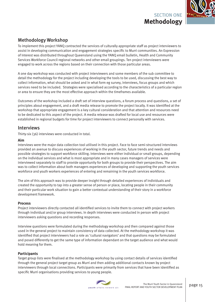

### Methodology Workshop

To implement this project YANQ contracted the services of culturally appropriate staff as project interviewers to assist in developing communication and engagement strategies specific to Murri communities. An Expression of Interest was distributed throughout Queensland using the YANQ email bulletin, Health and Community Services Workforce Council regional networks and other email groupings. Ten project interviewers were engaged to work across the regions based on their connection with those particular areas.

A one day workshop was conducted with project interviewers and some members of the sub committee to detail the methodology for the project including developing the tools to be used, discussing the best way to collect information, what should be asked and in what form eg survey, interviews, focus groups and which services need to be included. Strategies were specialised according to the characteristics of a particular region or area to ensure they are the most effective approach within the timeframes available.

Outcomes of the workshop included a draft set of interview questions, a forum process and questions, a set of principles about engagement, and a draft media release to promote the project locally. It was identified at the workshop that appropriate engagement is a key cultural consideration and that attention and resources need to be dedicated to this aspect of the project. A media release was drafted for local use and resources were established in regional budgets for time for project interviewers to connect personally with services.

### Interviews

Thirty-six (36) interviews were conducted in total.

#### **Aim**

Interviews were the major data collection tool utilised in this project. Face to face semi-structured interviews provided an avenue to discuss experiences of working in the youth sector, future trends and needs and possible strategies to support workforce skilling. Interviews were either individual or small groups, depending on the individual services and what is most appropriate and in many cases managers of services were interviewed separately to staff to provide opportunity for both groups to provide their perspectives. The aim was to collect information about both managers experiences of developing and supporting the youth services workforce and youth workers experiences of entering and remaining in the youth services workforce.

The aim of this approach was to provide deeper insight through detailed experiences of individuals and created the opportunity to tap into a greater sense of person or place, locating people in their community and their particular work situation to gain a better contextual understanding of their story in a workforce development framework.

#### **Process**

Project interviewers directly contacted all identified services to invite them to connect with project workers through individual and/or group interviews. In depth interviews were conducted in person with project interviewers asking questions and recording responses.

Interview questions were formulated during the methodology workshop and then compared against those used in the general project to maintain consistency of data collected. At the methodology workshop it was identified that project interviewers had a role as 'cultural navigators' and that questions may be formulated and posed differently to get the same type of information dependant on the target audience and what would hold meaning for them.

#### **Participants**

Target group lists were finalised at the methodology workshop by using contact details of services identified through the general project target group as Murri and then adding additional contacts known by project interviewers through local connections. Participants were primarily from services that have been identified as specific Murri organisations providing services to young people.

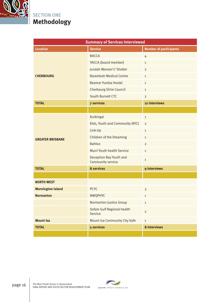

| <b>Summary of Services Interviewed</b> |                                              |                               |  |  |  |  |
|----------------------------------------|----------------------------------------------|-------------------------------|--|--|--|--|
| <b>Location</b>                        | <b>Service</b>                               | <b>Number of participants</b> |  |  |  |  |
|                                        | <b>BACCA</b>                                 | $\overline{4}$                |  |  |  |  |
|                                        | YACCA (board member)                         | $\mathbf{1}$                  |  |  |  |  |
|                                        | Jundah Women's' Shelter                      | $\mathbf 2$                   |  |  |  |  |
| <b>CHERBOURG</b>                       | <b>Barambah Medical Centre</b>               | $\mathbf{1}$                  |  |  |  |  |
|                                        | <b>Beemar Yumba Hostel</b>                   | $\mathbf{1}$                  |  |  |  |  |
|                                        | <b>Cherbourg Shire Council</b>               | $\mathbf{1}$                  |  |  |  |  |
|                                        | <b>South Burnett CTC</b>                     | $\overline{2}$                |  |  |  |  |
| <b>TOTAL</b>                           | <b>7 services</b>                            | 12 interviews                 |  |  |  |  |
|                                        |                                              |                               |  |  |  |  |
|                                        | Kurbingai                                    | $\mathbf{1}$                  |  |  |  |  |
|                                        | Kids, Youth and Community (KYC)              | $\overline{2}$                |  |  |  |  |
|                                        | Link-Up                                      | $\mathbf{1}$                  |  |  |  |  |
| <b>GREATER BRISBANE</b>                | <b>Children of the Dreaming</b>              | $\mathbf{1}$                  |  |  |  |  |
|                                        | <b>Bahloo</b>                                | $\overline{2}$                |  |  |  |  |
|                                        | Murri Youth health Service                   | $\mathbf{1}$                  |  |  |  |  |
|                                        | Deception Bay Youth and<br>Community service | $\mathbf{1}$                  |  |  |  |  |
| <b>TOTAL</b>                           | <b>8 services</b>                            | 9 interviews                  |  |  |  |  |
|                                        |                                              |                               |  |  |  |  |
| <b>NORTH WEST</b>                      |                                              |                               |  |  |  |  |
| <b>Mornington Island</b>               | <b>PCYC</b>                                  | $\mathfrak{Z}$                |  |  |  |  |
| <b>Normanton</b>                       | <b>NWQPHYC</b>                               | $\mathbf{1}$                  |  |  |  |  |
|                                        | <b>Normanton Justice Group</b>               | $\mathbf{1}$                  |  |  |  |  |
|                                        | Oxfam Gulf Regional health<br>Service        | $\overline{c}$                |  |  |  |  |
| <b>Mount Isa</b>                       | <b>Mount Isa Community City Safe</b>         | $\mathbf{1}$                  |  |  |  |  |
| <b>TOTAL</b>                           | <b>5 services</b>                            | <b>8 interviews</b>           |  |  |  |  |
|                                        |                                              |                               |  |  |  |  |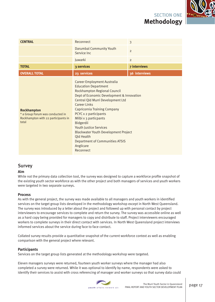

| <b>CENTRAL</b>                                                                                         | Reconnect                                                                                                                                                                                                                                                                                                                                                                                                                                                                   | 3                   |
|--------------------------------------------------------------------------------------------------------|-----------------------------------------------------------------------------------------------------------------------------------------------------------------------------------------------------------------------------------------------------------------------------------------------------------------------------------------------------------------------------------------------------------------------------------------------------------------------------|---------------------|
|                                                                                                        | <b>Darumbal Community Youth</b><br>Service Inc.                                                                                                                                                                                                                                                                                                                                                                                                                             | $\overline{2}$      |
|                                                                                                        | Juwarki                                                                                                                                                                                                                                                                                                                                                                                                                                                                     | $\overline{2}$      |
| <b>TOTAL</b>                                                                                           | 3 services                                                                                                                                                                                                                                                                                                                                                                                                                                                                  | <b>7 interviews</b> |
| <b>OVERALL TOTAL</b>                                                                                   | 23 services                                                                                                                                                                                                                                                                                                                                                                                                                                                                 | 36 interviews       |
| <b>Rockhampton</b><br>* a Group Forum was conducted in<br>Rockhampton with 22 participants in<br>total | <b>Career Employment Australia</b><br><b>Education Department</b><br>Rockhampton Regional Council<br>Dept of Economic Development & Innovation<br>Central Qld Murri Development Ltd<br>Career Links<br><b>Capricornia Training Company</b><br>PCYC x 2 participants<br>Milbi x 3 particpants<br>Bidgerdii<br>Youth Justice Services<br><b>Blackwater Youth Development Project</b><br><b>Qld Health</b><br><b>Department of Communities ATSIS</b><br>Anglicare<br>Reconnect |                     |

#### Survey

#### **Aim**

While not the primary data collection tool, the survey was designed to capture a workforce profile snapshot of the existing youth sector workforce as with the other project and both managers of services and youth workers were targeted in two separate surveys.

#### **Process**

As with the general project, the survey was made available to all managers and youth workers in identified services on the target group lists developed in the methodology workshop except in North West Queensland. The survey was introduced by a letter about the project and followed up with personal contact by project interviewers to encourage services to complete and return the survey. The survey was accessible online as well as a hard copy being provided for managers to copy and distribute to staff. Project interviewers encouraged workers to complete surveys in their direct contact with services. In North West Queensland project interviews informed services about the service during face to face contact.

Collated survey results provide a quantitative snapshot of the current workforce context as well as enabling comparison with the general project where relevant.

#### **Participants**

Services on the target group lists generated at the methodology workshop were targeted.

Eleven managers surveys were returned, fourteen youth worker surveys where the manager had also completed a survey were returned. While it was optional to identify by name, respondents were asked to identify their services to assist with cross referencing of manager and worker surveys so that survey data could

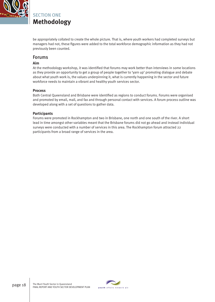

be appropriately collated to create the whole picture. That is, where youth workers had completed surveys but managers had not, these figures were added to the total workforce demographic information as they had not previously been counted.

#### Forums

#### **Aim**

At the methodology workshop, it was identified that forums may work better than interviews in some locations as they provide an opportunity to get a group of people together to 'yarn up' promoting dialogue and debate about what youth work is, the values underpinning it, what is currently happening in the sector and future workforce needs to maintain a vibrant and healthy youth services sector.

#### **Process**

Both Central Queensland and Brisbane were identified as regions to conduct forums. Forums were organised and promoted by email, mail, and fax and through personal contact with services. A forum process outline was developed along with a set of questions to gather data.

#### **Participants**

Forums were promoted in Rockhampton and two in Brisbane, one north and one south of the river. A short lead in time amongst other variables meant that the Brisbane forums did not go ahead and instead individual surveys were conducted with a number of services in this area. The Rockhampton forum attracted 22 participants from a broad range of services in the area.

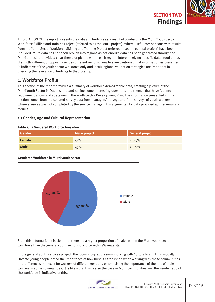

THIS SECTION OF the report presents the data and findings as a result of conducting the Murri Youth Sector Workforce Skilling and Training Project (referred to as the Murri project). Where useful comparisons with results from the Youth Sector Workforce Skilling and Training Project (referred to as the general project) have been included. Murri data has not been broken into regions as not enough data has been generated through the Murri project to provide a clear theme or picture within each region. Interestingly no specific data stood out as distinctly different or opposing across different regions. Readers are cautioned that information as presented is indicative of the youth sector workforce only and local/regional validation strategies are important in checking the relevance of findings to that locality.

### 1. Workforce Profile

This section of the report provides a summary of workforce demographic data, creating a picture of the Murri Youth Sector in Queensland and raising some interesting questions and themes that have fed into recommendations and strategies in the Youth Sector Development Plan. The information presented in this section comes from the collated survey data from managers' surveys and from surveys of youth workers where a survey was not completed by the service manager. It is augmented by data provided at interviews and forums.

#### **1.1 Gender, Age and Cultural Representation**

#### **Table 1.1.1 Gendered Workforce breakdown**

| <b>Gender</b> | <b>Murri project</b> | General project |  |  |
|---------------|----------------------|-----------------|--|--|
| <b>Female</b> | 57%                  | 71.59%          |  |  |
| <b>Male</b>   | 43%                  | 28.40%          |  |  |

#### **Gendered Workforce in Murri youth sector**



From this information it is clear that there are a higher proportion of males within the Murri youth sector workforce than the general youth sector workforce with 43% male staff.

In the general youth services project, the focus group addressing working with Culturally and Linguistically Diverse young people noted the importance of how trust is established when working with these communities and differences that exist for workers of different genders, emphasising the importance of the role of male workers in some communities. It is likely that this is also the case in Murri communities and the gender ratio of the workforce is indicative of this.

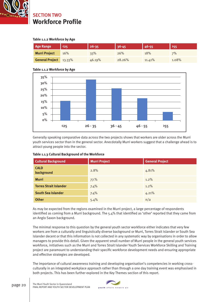

SECTION TWO **Workforce Profi le**

#### **Table 1.1.2 Workforce by Age**

| <b>Age Range</b>       | $\langle 25$ | $26 - 35$ | $36 - 45$ | 46-55  | 55    |
|------------------------|--------------|-----------|-----------|--------|-------|
| <b>Murri Project</b>   | 16%          | 33%       | 26%       | 18%    | 7%    |
| <b>General Project</b> | 13.33%       | 46.19%    | 28.26%    | 11.41% | 1.08% |

#### **Table 1.1.2 Workforce by Age**



Generally speaking comparative data across the two projects shows that workers are older across the Murri youth services sector than in the general sector. Anecdotally Murri workers suggest that a challenge ahead is to attract young people into the sector.

| <b>Cultural Background</b>    | <b>Murri Project</b> | <b>General Project</b> |  |
|-------------------------------|----------------------|------------------------|--|
| <b>CALD</b><br>background     | 2.8%                 | 4.81%                  |  |
| <b>Murri</b>                  | 77.%                 | $1.2\%$                |  |
| <b>Torres Strait Islander</b> | 7.4%                 | $1.2\%$                |  |
| <b>South Sea Islander</b>     | 7.4%                 | 4.21%                  |  |
| <b>Other</b>                  | 5.4%                 | n/a                    |  |

#### **Table 1.1.3 Cultural Background of the Workforce**

As may be expected from the regions examined in the Murri project, a large percentage of respondents identified as coming from a Murri background. The 5.4% that identified as 'other' reported that they came from an Anglo Saxon background.

The minimal response to this question by the general youth sector workforce either indicates that very few workers are from a culturally and linguistically diverse background or Murri, Torres Strait Islander or South Sea Islander decent or that this information is not collected in any systematic way by organisations in order to allow managers to provide this detail. Given the apparent small number of Murri people in the general youth services workforce, initiatives such as the Murri and Torres Strait Islander Youth Services Workforce Skilling and Training project are paramount to understanding their specific workforce development needs and ensuring appropriate and effective strategies are developed.

The importance of cultural awareness training and developing organisation's competencies in working crossculturally in an integrated workplace approach rather than through a one day training event was emphasised in both projects. This has been further explored in the Key Themes section of this report.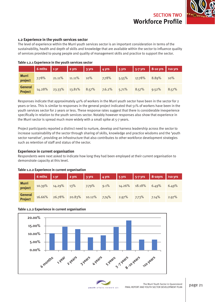

#### **1.2 Experience in the youth services sector**

The level of experience within the Murri youth services sector is an important consideration in terms of the sustainability, health and depth of skills and knowledge that are available within the sector to influence quality of services provided to young people and quality of management skills and practice to support the sector.

|                                  | $6$ mths $1$ yr |        | $\vert$ 2 yrs $\vert$ | 3 yrs | $4 \text{ yrs}$ | $\frac{1}{2}$ 5 yrs |        | 5-7 yrs 8-10 yrs >10 yrs |       |
|----------------------------------|-----------------|--------|-----------------------|-------|-----------------|---------------------|--------|--------------------------|-------|
| Murri<br>project                 | 7.78%           | 21.11% | 11.11%                | 10%   | 7.78%           | 5.55%               | 17.78% | 8.89%                    | 10%   |
| <b>General</b><br><b>Project</b> | 14.28%          | 23.33% | 13.81%                | 8.57% | 7.6.2%          | 5.71%               | 8.57%  | 9.52%                    | 8.57% |

#### **Table 1.2.1 Experience in the youth services sector**

Responses indicate that approximately 40% of workers in the Murri youth sector have been in the sector for 2 years or less. This is similar to responses in the general project indicated that 51% of workers have been in the youth services sector for 2 years or less. These response rates suggest that there is considerable inexperience specifically in relation to the youth services sector. Notably however responses also show that experience in the Murri sector is spread much more widely with a small spike at 5-7 years.

Project participants reported a distinct need to nurture, develop and harness leadership across the sector to increase sustainability of the sector through sharing of skills, knowledge and practice wisdoms and the 'youth sector narrative', providing an infrastructure that also contributes to other workforce development strategies such as retention of staff and status of the sector.

#### **Experience in current organisation**

Respondents were next asked to indicate how long they had been employed at their current organisation to demonstrate capacity at this level.

#### **Table 1.2.2 Experience in current organisation**

|                    | 6 mths $1yr$ |            | $\begin{array}{ c c c c }\n\hline\n2 \text{ yrs} & \text{3 yrs}\n\end{array}$ |        |       |        |        |       |       |
|--------------------|--------------|------------|-------------------------------------------------------------------------------|--------|-------|--------|--------|-------|-------|
| Murri<br>project   | 10.39%       | 14.29% 13% |                                                                               | 7.79%  | 9.1%  | 14.26% | 18.18% | 6.49% | 6.49% |
| General<br>Project | 16.66%       | 26.78%     | 20.83%                                                                        | 10.12% | 7.74% | 2.97%  | 7.73%  | 7.14% | 2.97% |

#### **Table 1.2.2 Experience in current organisation**



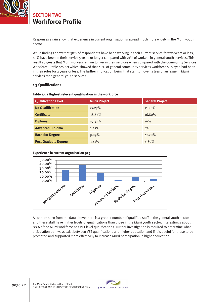

## **Workforce Profi le** SECTION TWO

Responses again show that experience in current organisation is spread much more widely in the Murri youth sector.

While findings show that 38% of respondents have been working in their current service for two years or less, 45% have been in their service 5 years or longer compared with 21% of workers in general youth services. This result suggests that Murri workers remain longer in their services when compared with the Community Services Workforce Profile project which showed that 46% of general community services workforce surveyed had been in their roles for 2 years or less. The further implication being that staff turnover is less of an issue in Murri services than general youth services.

#### **1.3 Qualifications**

| <b>Qualification Level</b>  | <b>Murri Project</b> | <b>General Project</b> |
|-----------------------------|----------------------|------------------------|
| <b>No Qualification</b>     | 27.27%               | $11.20\%$              |
| <b>Certificate</b>          | 38.64%               | 16.80%                 |
| <b>Diploma</b>              | 19.32%               | 16%                    |
| <b>Advanced Diploma</b>     | 2.27%                | 4%                     |
| <b>Bachelor Degree</b>      | 9.09%                | 47.20%                 |
| <b>Post Graduate Degree</b> | 3.41%                | 4.80%                  |

#### Table 1.3.1 Highest relevant qualification in the workforce

**Experience in current organisation p25**



As can be seen from the data above there is a greater number of qualified staff in the general youth sector and these staff have higher levels of qualifications than those in the Murri youth sector. Interestingly about 88% of the Murri workforce has VET level qualifications. Further investigation is required to determine what articulation pathways exist between VET qualifications and higher education and if it is useful for these to be promoted and supported more effectively to increase Murri participation in higher education.

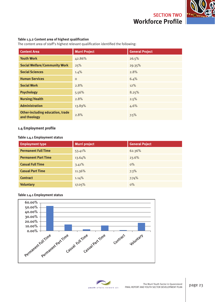**Workforce Profile** SECTION TWO



#### **Table 1.3.2 Content area of highest qualification**

The content area of staff's highest relevant qualification identified the following:

| <b>Content Area</b>                                     | Murri Project | <b>General Project</b> |
|---------------------------------------------------------|---------------|------------------------|
| <b>Youth Work</b>                                       | 42.86%        | 26.5%                  |
| <b>Social Welfare/Community Work</b>                    | 25%           | 29.35%                 |
| <b>Social Sciences</b>                                  | 1.4%          | 2.8%                   |
| <b>Human Services</b>                                   | $\circ$       | 6.4%                   |
| <b>Social Work</b>                                      | 2.8%          | 12%                    |
| <b>Psychology</b>                                       | 5.56%         | 8.25%                  |
| <b>Nursing/Health</b>                                   | 2.8%          | 2.5%                   |
| <b>Administration</b>                                   | 13.89%        | 4.6%                   |
| <b>Other-including education, trade</b><br>and theology | 2.8%          | 7.5%                   |

#### **1.4 Employment profi le**

#### **Table 1.4.1 Employment status**

| <b>Employment type</b>     | <b>Murri project</b> | <b>General Poject</b> |
|----------------------------|----------------------|-----------------------|
| <b>Permanent Full Time</b> | 53.41%               | 62.36%                |
| <b>Permanent Part Time</b> | 13.64%               | 23.6%                 |
| <b>Casual Full Time</b>    | 3.41%                | $0\%$                 |
| <b>Casual Part Time</b>    | 11.36%               | 7.3%                  |
| <b>Contract</b>            | 1.14%                | 7.74%                 |
| <b>Voluntary</b>           | 17.05%               | $0\%$                 |

#### **Table 1.4.1 Employment status**



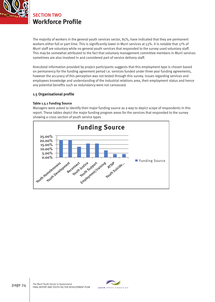

## **Workforce Profi le** SECTION TWO

The majority of workers in the general youth services sector, 85%, have indicated that they are permanent workers either full or part time. This is significantly lower in Murri services at 53%. It is notable that 17% of Murri staff are voluntary while no general youth services that responded to the survey used voluntary staff. This may be somewhat attributed to the fact that voluntary management committee members in Murri services sometimes are also involved in and considered part of service delivery staff.

Anecdotal information provided by project participants suggests that this employment type is chosen based on permanency for the funding agreement period i.e. services funded under three year funding agreements, however the accuracy of this perception was not tested through this survey. Issues regarding services and employees knowledge and understanding of the industrial relations area, their employment status and hence any potential benefits such as redundancy were not canvassed.

#### **1.5 Organisational profi le**

#### **Table 1.5.1 Funding Source**

Managers were asked to identify their major funding source as a way to depict scope of respondents in this report. These tables depict the major funding program areas for the services that responded to the survey showing a cross section of youth service types



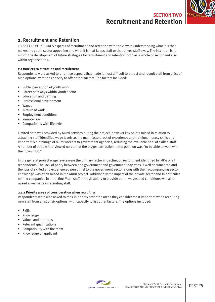

### 2. Recruitment and Retention

THIS SECTION EXPLORES aspects of recruitment and retention with the view to understanding what it is that makes the youth sector appealing and what it is that keeps staff or that drives staff away. The intention is to inform the development of future strategies for recruitment and retention both as a whole of sector and also within organisations.

#### **2.1 Barriers to attraction and recruitment**

Respondents were asked to prioritise aspects that made it most difficult to attract and recruit staff from a list of nine options, with the capacity to offer other factors. The factors included:

- Public perception of youth work
- Career pathways within youth sector
- Education and training
- Professional development
- Wages
- Nature of work
- Employment conditions
- **Remoteness**
- Compatibility with lifestyle

Limited data was provided by Murri services during the project, however key points raised in relation to attracting staff identified wage levels as the main factor, lack of experience and training, literacy skills and importantly a drainage of Murri workers to government agencies, reducing the available pool of skilled staff. A number of people interviewed noted that the biggest attraction to the position was "to be able to work with their own mob."

In the general project wage levels were the primary factor impacting on recruitment identified by 78% of all respondents. The lack of parity between non government and government pay rates is well documented and the loss of skilled and experienced personnel to the government sector along with their accompanying sector knowledge was often raised in the Murri project. Additionally the impact of the private sector and in particular mining companies in attracting Murri staff through ability to provide better wages and conditions was also raised a key issue in recruiting staff.

#### **2.1.2 Priority areas of consideration when recruiting**

Respondents were also asked to rank in priority order the areas they consider most important when recruiting new staff from a list of six options, with capacity to list other factors. The options included:

- Skills
- Knowledge
- Values and attitudes
- Relevant qualifications
- Compatibility with the team
- Knowledge of applicant

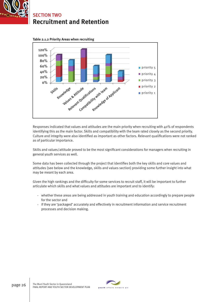





Responses indicated that values and attitudes are the main priority when recruiting with 40% of respondents identifying this as the main factor. Skills and compatibility with the team rated closely as the second priority. Culture and integrity were also identified as important as other factors. Relevant qualifications were not ranked as of particular importance.

Skills and values/attitude proved to be the most significant considerations for managers when recruiting in general youth services as well.

Some data has been collected through the project that identifies both the key skills and core values and attitudes (see below and the knowledge, skills and values section) providing some further insight into what may be meant by each area.

Given the high rankings and the difficulty for some services to recruit staff, it will be important to further articulate which skills and what values and attitudes are important and to identify:

- whether these areas are being addressed in youth training and education accordingly to prepare people for the sector and
- if they are 'packaged' accurately and effectively in recruitment information and service recruitment processes and decision making.

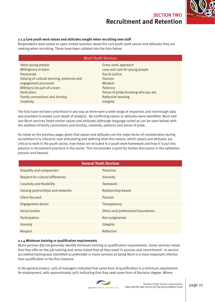

#### **2.1.3 Core youth work values and attitudes sought when recruiting new staff**

Respondents were asked an open ended question about the core youth work values and attitudes they are seeking when recruiting. These have been collated into the lists below.

| <b>Murri Youth Services</b>                 |                                    |  |
|---------------------------------------------|------------------------------------|--|
| Value young people                          | Grass roots approach               |  |
| Willingness to learn                        | Love and care for young people     |  |
| Passionate                                  | Social justice                     |  |
| Valuing of cultural learning, protocols and | Humour                             |  |
| engagement processes                        | Wisdom                             |  |
| Willing to be part of a team                | Patience                           |  |
| Dedication                                  | Sense of pride/knowing who you are |  |
| Family connections and kinship              | Reflective learning                |  |
| Creativity                                  | Integrity                          |  |

The lists have not been prioritised in any way as there were a wide range of responses and not enough data was provided to enable such depth of analysis. No conflicting values or attitudes were identified. Murri and non Murri services listed similar values and attitudes (although language varied as can be seen below) with the addition of family connections and kinship, creativity, patience and sense of pride.

As noted on the previous page, given that values and attitudes are the major factor of consideration during recruitment it is critical to start articulating and defining what this means; which values and attitudes are critical to work in the youth sector, how these are included in a youth work framework and how it is put into practice in recruitment practices in the sector. This list provides a point for further discussion in the validation process and beyond.

| <b>General Youth Services</b>     |                                    |  |
|-----------------------------------|------------------------------------|--|
| <b>Empathy and compassion</b>     | Proactive                          |  |
| Respect for cultural differences  | Sincerity                          |  |
| Creativity and flexibility        | Teamwork                           |  |
| Valuing partnerships and networks | Relationship based                 |  |
| Client focused                    | Passion                            |  |
| Engagement driven                 | Transparency                       |  |
| Social justice                    | Ethics and professional boundaries |  |
| Participation                     | Non-judgmental                     |  |
| Honesty                           | Integrity                          |  |
| Respect                           | Reflective                         |  |

#### **2.1.4 Minimum training or qualification requirements**

Murri services did not generally identify minimum training or qualification requirements. Some services noted that they offer on the job training and some stated that all they need 'is passion and commitment'. In-service accredited training was identified as preferable in many services as being Murri is a more important criterion than qualification in the first instance.

In the general project, 79% of managers indicated that some form of qualification is a minimum requirement for employment, with approximately 30% indicating that they seek some form of Bachelor degree. Where

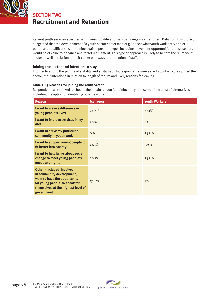

general youth services specified a minimum qualification a broad range was identified. Data from this project suggested that the development of a youth sector career map or guide showing youth work entry and exit points and qualifications or training against position types including movement opportunities across sectors would be of value to enhance and target recruitment. This type of approach is likely to benefit the Murri youth sector as well in relation to their career pathways and retention of staff.

#### **Joining the sector and intention to stay**

In order to add to the picture of stability and sustainability, respondents were asked about why they joined the sector, their intentions in relation to length of tenure and likely reasons for leaving.

#### **Table 2.1.5 Reasons for joining the Youth Sector**

Respondents were asked to choose their main reason for joining the youth sector from a list of alternatives including the option of identifying other reasons

| <b>Reason</b>                                                                                                                                                                    | <b>Managers</b> | <b>Youth Workers</b> |
|----------------------------------------------------------------------------------------------------------------------------------------------------------------------------------|-----------------|----------------------|
| I want to make a difference in<br>young people's lives                                                                                                                           | 26.67%          | 47.1%                |
| I want to improve services in my<br>area                                                                                                                                         | 20%             | $0\%$                |
| I want to serve my particular<br>community in youth work                                                                                                                         | $0\%$           | 23.5%                |
| I want to support young people to<br>fit better into society                                                                                                                     | 13.3%           | 5.9%                 |
| I want to help bring about social<br>change to meet young people's<br>needs and rights                                                                                           | 26.7%           | 23.5%                |
| <b>Other-included involved</b><br>in community development,<br>want to have the opportunity<br>for young people to speak for<br>themselves at the highest level of<br>government | 17.64%          | $1\%$                |

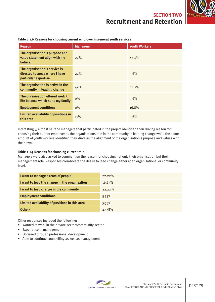| <b>Reason</b>                                                                           | <b>Managers</b> | <b>Youth Workers</b> |
|-----------------------------------------------------------------------------------------|-----------------|----------------------|
| The organisation's purpose and<br>value statement align with my<br><b>beliefs</b>       | 22%             | 44.4%                |
| The organisation's service is<br>directed to areas where I have<br>particular expertise | 22%             | 5.6%                 |
| The organisation is active in the<br>community in leading change                        | 44%             | 22.2%                |
| The organisation offered work /<br>life balance which suits my family                   | $0\%$           | 5.6%                 |
| <b>Employment conditions</b>                                                            | $0\%$           | 16.8%                |
| Limited availability of positions in<br>this area                                       | 11%             | 5.6%                 |

**Table 2.1.6 Reasons for choosing current employer in general youth services**

Interestingly, almost half the managers that participated in the project identified their driving reason for choosing their current employer as the organisations role in the community in leading change while the same amount of youth workers identified their drive as the alignment of the organisation's purpose and values with their own.

#### **Table 2.1.7 Reasons for choosing current role**

Managers were also asked to comment on the reason for choosing not only their organisation but their management role. Responses corroborate the desire to lead change either at an organisational or community level.

| I want to manage a team of people              | $22.22\%$ |
|------------------------------------------------|-----------|
| I want to lead the change in the organisation  | 16.67%    |
| I want to lead change in the community         | $22.22\%$ |
| <b>Employment conditions</b>                   | 5.55%     |
| Limited availability of positions in this area | 5.55%     |
| Other-                                         | 27.78%    |

Other responses included the following:

- Wanted to work in the private sector/community sector
- Experience in management
- Occurred through professional development
- Able to continue counselling as well as management

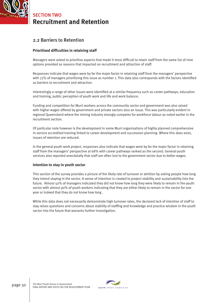

### 2.2 Barriers to Retention

#### **Prioritised difficulties in retaining staff**

Managers were asked to prioritise aspects that made it most difficult to retain staff from the same list of nine options provided as reasons that impacted on recruitment and attraction of staff.

Responses indicate that wages were by far the major factor in retaining staff from the managers' perspective with 77% of managers prioritising this issue as number 1. This data also corresponds with the factors identified as barriers to recruitment and attraction.

Interestingly a range of other issues were identified at a similar frequency such as career pathways, education and training, public perception of youth work and life and work balance.

Funding and competition for Murri workers across the community sector and government was also raised with higher wages offered by government and private sectors also an issue. This was particularly evident in regional Queensland where the mining industry strongly competes for workforce labour as noted earlier in the recruitment section.

Of particular note however is the development in some Murri organisations of highly planned comprehensive in-service accredited training linked to career development and succession planning. Where this does exist, issues of retention are reduced.

In the general youth work project, responses also indicate that wages were by far the major factor in retaining staff from the managers' perspective at 68% with career pathways ranked as the second. General youth services also reported anecdotally that staff are often lost to the government sector due to better wages.

#### **Intention to stay in youth sector**

This section of the survey provides a picture of the likely rate of turnover or attrition by asking people how long they intend staying in the sector. A sense of intention is created to project stability and sustainability into the future. Almost 50% of managers indicated they did not know how long they were likely to remain in the youth sector with almost 90% of youth workers indicating that they are either likely to remain in the sector for one year or indeed that they do not know how long .

While this data does not necessarily demonstrate high turnover rates, the declared lack of intention of staff to stay raises questions and concerns about stability of staffing and knowledge and practice wisdom in the youth sector into the future that warrants further investigation.

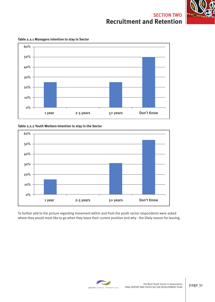



**Table 2.2.1 Managers intention to stay in Sector**

**Table 2.2.2 Youth Workers Intention to stay in the Sector**



To further add to the picture regarding movement within and from the youth sector respondents were asked where they would most like to go when they leave their current position and why - the likely reason for leaving.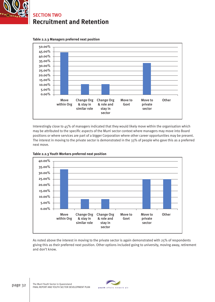





Interestingly close to 45% of managers indicated that they would likely move within the organisation which may be attributed to the specific aspects of the Murri sector context where managers may move into Board positions or where services are part of a bigger Corporation where other career opportunities may be present. The interest in moving to the private sector is demonstrated in the 33% of people who gave this as a preferred next move.



**Table 2.2.3 Youth Workers preferred next position**

As noted above the interest in moving to the private sector is again demonstrated with 25% of respondents giving this as their preferred next position. Other options included going to university, moving away, retirement and don't know.

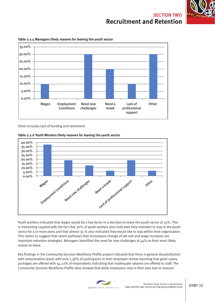



**Table 2.2.5 Managers likely reasons for leaving the youth sector**

Other includes lack of funding and retirement.



Youth workers indicated that wages would be a key factor in a decision to leave the youth sector at 35%. This is interesting coupled with the fact that 30% of youth workers also indicated they intended to stay in the youth sector for 5 or more years and that almost 35 % also indicated they would like to stay within their organisation. This seems to suggest that career pathways that encompass change of job role and wage increases are important retention strategies. Managers identified the need for new challenges at  $44\%$  as their most likely reason to leave.

Key findings in the Community Services Workforce Profile project indicated that there is general dissatisfaction with remuneration levels with only 2.36% of participants in their employee review reporting that good salary packages are offered with 54.22% of respondents indicating that inadequate salaries are offered to staff. The Community Services Workforce Profile data showed that while employees stay in their jobs due to reasons

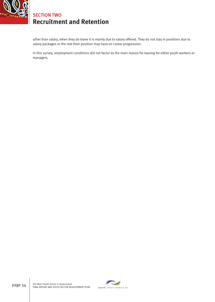

other than salary, when they do leave it is mainly due to salary offered. They do not stay in positions due to salary packages or the role their position may have on career progression.

In this survey, employment conditions did not factor as the main reason for leaving for either youth workers or managers.

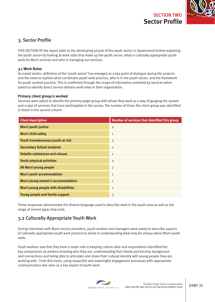

### 3. Sector Profile

THIS SECTION OF the report adds to the developing picture of the youth sector in Queensland further exploring the youth sector by looking at work roles that make up the youth sector, what is culturally appropriate youth work for Murri services and who is managing our services.

#### **3.1 Work Roles**

As noted earlier, definition of the 'youth sector' has emerged as a key point of dialogue during the projects and the need to explore what constitutes youth work practice, who is in the youth sector, and the framework for youth centred practice. This is confirmed through the scope of information provided by services when asked to identify direct service delivery work roles in their organisation.

#### **Primary client group/s worked**

Services were asked to identify the primary target group with whom they work as a way of gauging the spread and scope of services that have participated in the survey. The number of times the client group was identified is listed in the second column

| <b>Client description</b>             | Number of services that identified this group |
|---------------------------------------|-----------------------------------------------|
| <b>Murri youth justice</b>            | 2                                             |
| <b>Murri child safety</b>             | $\mathbf{1}$                                  |
| Youth homelessness/youth at risk      | $\overline{2}$                                |
| <b>Secondary School students</b>      | $\mathbf{1}$                                  |
| <b>Volatile substances and misuse</b> | $\mathbf{1}$                                  |
| Youth physical activities             | $\overline{2}$                                |
| All Murri young people                | $\overline{7}$                                |
| <b>Murri youth accommodation</b>      | $\mathbf{1}$                                  |
| Murri young women's accommodation     | $\mathbf{1}$                                  |
| Murri young people with disabilities  | $\mathbf 1$                                   |
| Young people and family support       | 3                                             |

These responses demonstrate the diverse language used to describe work in the youth area as well as the range of service types that exist.

### 3.2 Culturally Appropriate Youth Work

During interviews with Murri service providers, youth workers and managers were asked to describe aspects of culturally appropriate youth work practice to assist in understanding what may be unique about Murri youth work.

Youth workers saw that they have a major role in keeping culture alive and respondents identified the key components as workers knowing who they are, understanding their family and kinship background and connections and being able to articulate and share their cultural identity with young people they are working with. From this basis, using respectful and meaningful engagement processes with appropriate communication was seen as a key aspect of youth work.

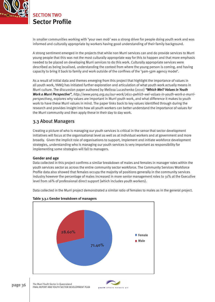

## **Sector Profile** SECTION TWO

In smaller communities working with 'your own mob' was a strong driver for people doing youth work and was informed and culturally appropriate by workers having good understanding of their family background.

A strong sentiment emerged in the projects that while non Murri services can and do provide services to Murri young people that this was not the most culturally appropriate way for this to happen and that more emphasis needed to be placed on developing Murri services to do this work. Culturally appropriate services were described as being localised, understanding the context from where the young person is coming, and having capacity to bring it back to family and work outside of the confines of the '9am-5pm agency model'.

As a result of initial data and themes emerging from this project that highlight the importance of values in all youth work, YANQ has initiated further exploration and articulation of what youth work actually means in Murri culture. The discussion paper authored by Melissa Lucashenko (2010) *"Which Wei? Values in Youth Work a Murri Perspective"*, *http://www.yanq.org.au/our-work/2611-qwhich-wei-values-in-youth-work-a-murriperspectiveq*, explores why values are important in Murri youth work, and what difference it makes to youth work to have these Murri values in mind. The paper links back to key values identified through during the research and provides insight into how all youth workers can better understand the importance of values for the Murri community and then apply these in their day to day work.

### 3.3 About Managers

Creating a picture of who is managing our youth services is critical in the sense that sector development initiatives will focus at the organisational level as well as at individual workers and at government and more broadly. Given the implicit role of organisations to support, implement and initiate workforce development strategies, understanding who is managing our youth services is very important as responsibility for implementing some strategies will fall to managers.

#### **Gender and age**

Data collected in this project confirms a similar breakdown of males and females in manager roles within the youth services sector as across the entire community sector workforce. The Community Services Workforce Profile data also showed that females occupy the majority of positions generally in the community services industry however the percentage of males increased in more senior management roles to 31% at the Executive level from 16% of professional direct support (which includes youth workers).

Data collected in the Murri project demonstrated a similar ratio of females to males as in the general project.



**Table 3.3.1 Gender breakdown of managers**

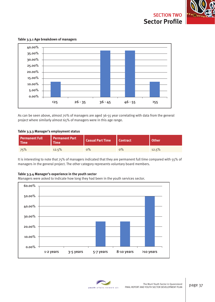

**Table 3.3.1 Age breakdown of managers** 



As can be seen above, almost 70% of managers are aged 36-55 year correlating with data from the general project where similarly almost 65% of managers were in this age range.

#### **Table 3.3.3 Manager's employment status**

| <b>Permanent Full</b><br>Time | Permanent Part<br><b>Time</b> | Casual Part Time   Contract |    | <b>Other</b> |
|-------------------------------|-------------------------------|-----------------------------|----|--------------|
| 75%                           | 12.5%                         | $0\%$                       | о% | 12.5%        |

It is interesting to note that 75% of managers indicated that they are permanent full time compared with 55% of managers in the general project. The other category represents voluntary board members.

#### **Table 3.3.4 Manager's experience in the youth sector**

Managers were asked to indicate how long they had been in the youth services sector.



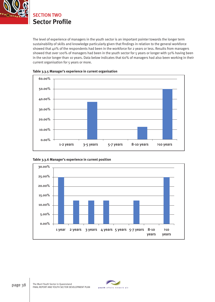

The level of experience of managers in the youth sector is an important pointer towards the longer term sustainability of skills and knowledge particularly given that findings in relation to the general workforce showed that 40% of the respondents had been in the workforce for 2 years or less. Results from managers showed that over 100% of managers had been in the youth sector for 5 years or longer with 50% having been in the sector longer than 10 years. Data below indicates that 60% of managers had also been working in their current organisation for 5 years or more.







**Table 3.3.6 Manager's experience in current position**

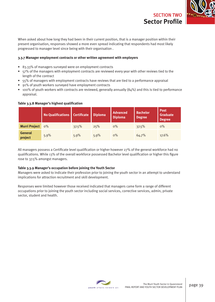

When asked about how long they had been in their current position, that is a manager position within their present organisation, responses showed a more even spread indicating that respondents had most likely progressed to manager level since being with their organisation .

#### **3.3.7 Manager employment contracts or other written agreement with employers**

- 83.33% of managers surveyed were on employment contracts
- 57% of the managers with employment contracts are reviewed every year with other reviews tied to the length of the contract
- 55% of managers with employment contracts have reviews that are tied to a performance appraisal
- 91% of youth workers surveyed have employment contracts
- $\bullet$  100% of youth workers with contracts are reviewed, generally annually (84%) and this is tied to performance appraisal.

#### **No Qualifications Certificate Diploma** Advanced **Diploma Bachelor Degree Post Graduate Degree Murri Project** 0% 37.5% 25% 0% 37.5% 0% **General project** 5.9% 5.9% 5.9% 0% 64.7% 17.6%

#### Table 3.3.8 Manager's highest qualification

All managers possess a Certificate level qualification or higher however 27% of the general workforce had no qualifications. While 13% of the overall workforce possessed Bachelor level qualification or higher this figure rose to 37.5% amongst managers.

### **Table 3.3.9 Manager's occupation before joining the Youth Sector**

Managers were asked to indicate their profession prior to joining the youth sector in an attempt to understand implications for attraction recruitment and skill development.

Responses were limited however those received indicated that managers came form a range of different occupations prior to joining the youth sector including social services, corrective services, admin, private sector, student and health.

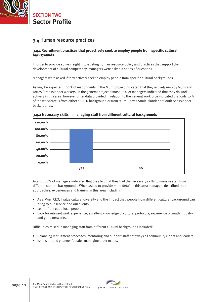

**Sector Profile** SECTION TWO

### 3.4 Human resource practices

### 3.4.1 Recruitment practices that proactively seek to employ people from specific cultural **backgrounds**

In order to provide some insight into existing human resource policy and practices that support the development of cultural competency, managers were asked a series of questions.

Managers were asked if they actively seek to employ people from specific cultural backgrounds.

As may be expected, 100% of respondents in the Murri project indicated that they actively employ Murri and Torres Strait Islander workers. In the general project almost 60% of managers indicated that they do work actively in this area, however other data provided in relation to the general workforce indicated that only 10% of the workforce is from either a CALD background or from Murri, Torres Strait Islander or South Sea Islander backgrounds.



### **3.4.2 Necessary skills in managing staff from different cultural backgrounds**

Again, 100% of managers indicated that they felt that they had the necessary skills to manage staff from different cultural backgrounds. When asked to provide more detail in this area managers described their approaches, experiences and training in this area including:

- As a Murri CEO, I value cultural diversity and the impact that people from different cultural background can bring to our service and our clients
- Learnt from good local people
- Look for relevant work experience, excellent knowledge of cultural protocols, experience of youth industry and good networks.

Difficulties raised in managing staff from different cultural backgrounds included:

- Balancing recruitment processes, mentoring and support staff pathways as community elders and leaders
- Issues around younger females managing older males.

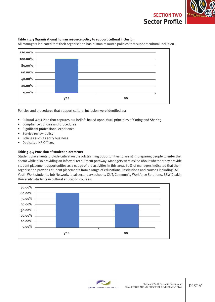

#### **Table 3.4.3 Organisational human resource policy to support cultural inclusion**

All managers indicated that their organisation has human resource policies that support cultural inclusion .



Policies and procedures that support cultural inclusion were identifed as:

- Cultural Work Plan that captures our beliefs based upon Murri principles of Caring and Sharing.
- Compliance policies and procedures
- Significant professional experience
- Service review policy
- Policies such as sorry business
- Dedicated HR Officer.

#### **Table 3.4.4 Provision of student placements**

Student placements provide critical on the job learning opportunities to assist in preparing people to enter the sector while also providing an informal recruitment pathway. Managers were asked about whether they provide student placement opportunities as a gauge of the activities in this area. 60% of managers indicated that their organisation provides student placements from a range of educational institutions and courses including TAFE Youth Work students, Job Network, local secondary schools, QUT, Community Workforce Solutions, BSW Deakin University, students in cultural education courses.



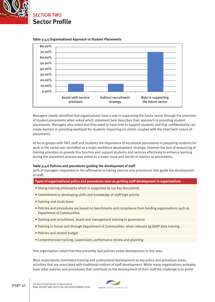



**Table 3.4.5 Organisational Approach to Student Placements**

Managers clearly identified that organisations have a role in supporting the future sector through the provision of student placements when asked which statement best describes their approach to providing student placements. Managers also noted that they need to have time to support students and that confidentiality can create barriers in providing workload for students impacting on clients coupled with the short term nature of placements.

At focus groups with TAFE staff and students the importance of vocational placements in preparing students for work in the sector was identified as a major workforce development strategy; however the lack of resourcing of training providers to provide this function and support students and services effectively to enhance learning during the placement process was noted as a major issue and barrier in relation to placements.

### **Table 3.4.6 Policies and procedures guiding the development of staff**

90% of managers responded in the affirmative to having policies and procedures that guide the development of staff.

**Types of organisational policy and procedures seen as guiding staff development in organisations**

- Strong training philosophy which is supported by our key documents
- Commitment to developing skills and knowledge of staff high priority
- Training and study leave
- Policies and procedures are based on benchmarks and compliance from funding organisations such as Department of Communities
- Training and recruitment, board and management training in governance
- Training in house and through Department of Communities when relevant eg SAAP data training
- Policies and related budget
- Comprehensive training, supervision, performance review and planning

One organisation noted that they presently had policies under development in this area.

Most respondents nominated training and professional development as key policy and procedure areas, activities that are associated with traditional notions of staff development. While many organisations probably have other policies and procedures that contribute to the development of their staff the challenge is to assist

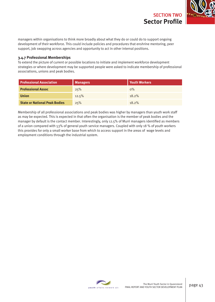

managers within organisations to think more broadly about what they do or could do to support ongoing development of their workforce. This could include policies and procedures that enshrine mentoring, peer support, job swapping across agencies and opportunity to act in other internal positions.

### **3.4.7 Professional Memberships**

To extend the picture of current or possible locations to initiate and implement workforce development strategies or where development may be supported people were asked to indicate membership of professional associations, unions and peak bodies.

| <b>Professional Association</b>      | <b>Managers</b> | <b>Youth Workers</b> |
|--------------------------------------|-----------------|----------------------|
| <b>Professional Assoc</b>            | 25%             | $0\%$                |
| <b>Union</b>                         | 12.5%           | $18.2\%$             |
| <b>State or National Peak Bodies</b> | 25%             | $18.2\%$             |

Membership of all professional associations and peak bodies was higher by managers than youth work staff as may be expected. This is expected in that often the organisation is the member of peak bodies and the manager by default is the contact member. Interestingly, only 12.5% of Murri managers identified as members of a union compared with 53% of general youth service managers. Coupled with only 18 % of youth workers this provides for only a small worker base from which to access support in the areas of wage levels and employment conditions through the industrial system.

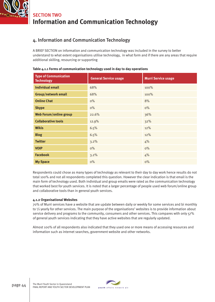

# **Information and Communication Technology** SECTION TWO

### 4. Information and Communication Technology

A BRIEF SECTION on information and communication technology was included in the survey to better understand to what extent organisations utilise technology, in what form and if there are any areas that require additional skilling, resourcing or supporting

| <b>Type of Communication</b><br><b>Technology</b> | <b>General Service usage</b> | <b>Murri Service usage</b> |
|---------------------------------------------------|------------------------------|----------------------------|
| <b>Individual email</b>                           | 68%                          | 100%                       |
| <b>Group/network email</b>                        | 68%                          | 100%                       |
| <b>Online Chat</b>                                | $0\%$                        | 8%                         |
| <b>Skype</b>                                      | $0\%$                        | $0\%$                      |
| Web Forum/online group                            | 22.6%                        | 36%                        |
| <b>Collaborative tools</b>                        | 12.9%                        | 32%                        |
| <b>Wikis</b>                                      | 6.5%                         | 12%                        |
| <b>Blog</b>                                       | 6.5%                         | 12%                        |
| <b>Twitter</b>                                    | 3.2%                         | 4%                         |
| <b>VOIP</b>                                       | $0\%$                        | $0\%$                      |
| <b>Facebook</b>                                   | 3.2%                         | 4%                         |
| <b>My Space</b>                                   | $0\%$                        | $0\%$                      |

### **Table 4.1.1 Forms of communication technology used in day to day operations**

Respondents could chose as many types of technology as relevant to their day to day work hence results do not total 100% and not all respondents completed this question. However the clear indication is that email is the main form of technology used. Both individual and group emails were rated as the communication technology that worked best for youth services. It is noted that a larger percentage of people used web forum/online group and collaborative tools than in general youth services.

### **4.1.2 Organisational Websites**

70% of Murri services have a website that are update between daily or weekly for some services and bi monthly to ½ yearly for other services. The main purpose of the organisations' websites is to provide information about service delivery and programs to the community, consumers and other services. This compares with only 57% of general youth services indicating that they have active websites that are regularly updated.

Almost 100% of all respondents also indicated that they used one or more means of accessing resources and information such as internet searches, government website and other networks.

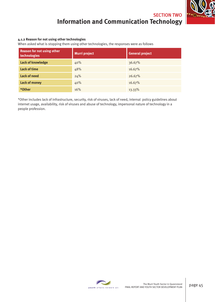# **Information and Communication Technology** SECTION TWO

### **4.1.2 Reason for not using other technologies**

When asked what is stopping them using other technologies, the responses were as follows

| <b>Reason for not using other</b><br>technologies | <b>Murri project</b> | <b>General project</b> |
|---------------------------------------------------|----------------------|------------------------|
| <b>Lack of knowledge</b>                          | 40%                  | 36.67%                 |
| <b>Lack of time</b>                               | 48%                  | 16.67%                 |
| <b>Lack of need</b>                               | 24%                  | 26.67%                 |
| <b>Lack of money</b>                              | 40%                  | 16.67%                 |
| *Other                                            | 16%                  | 13.33%                 |

\*Other includes lack of infrastructure, security, risk of viruses, lack of need, internal policy guidelines about internet usage, availability, risk of viruses and abuse of technology, impersonal nature of technology in a people profession.

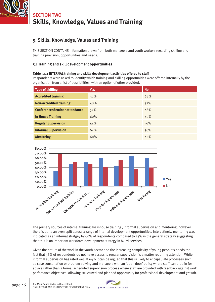

### 5. Skills, Knowledge, Values and Training

THIS SECTION CONTAINS information drawn from both managers and youth workers regarding skilling and training provision, opportunities and needs.

### **5.1 Training and skill development opportunities**

#### **Table 5.1.1 INTERNAL training and skills development activities offered to staff**

Respondents were asked to identify which training and skilling opportunities were offered internally by the organisation from a list of possibilities, with an option of other provided.

| <b>Type of skilling</b>              | <b>Yes</b> | <b>No</b> |
|--------------------------------------|------------|-----------|
| <b>Accredited training</b>           | 32%        | 68%       |
| <b>Non-accredited training</b>       | 48%        | 52%       |
| <b>Conference/Seminar attendance</b> | 52%        | 48%       |
| <b>In House Training</b>             | 60%        | 40%       |
| <b>Regular Supervision</b>           | 44%        | 56%       |
| <b>Informal Supervision</b>          | 64%        | 36%       |
| <b>Mentoring</b>                     | 60%        | 40%       |



The primary sources of internal training are inhouse training , informal supervision and mentoring, however there is quite an even split across a range of internal development opportunities. Interestingly, mentoring was indicated as an internal stratgey by 60% of respondents compared to 33% in the general strategy suggesting that this is an important workforce development strategy in Murri services.

Given the nature of the work in the youth sector and the increasing complexity of young people's needs the fact that 56% of respondents do not have access to regular supervision is a matter requiring attention. While informal supervision has rated well at 64% it can be argued that this is likely to encapsulate processes such as case consultation or problem solving and managers with an 'open door' policy where staff can drop in for advice rather than a formal scheduled supervision process where staff are provided with feedback against work perfomance objectives, allowing structured and planned opportunity for professional development and growth.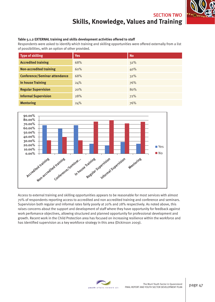

#### **Table 5.1.2 EXTERNAL training and skills development activities offered to staff**

Respondents were asked to identify which training and skilling opportunities were offered externally from a list of possibilities, with an option of other provided.

| <b>Type of skilling</b>              | <b>Yes</b> | <b>No</b> |
|--------------------------------------|------------|-----------|
| <b>Accredited training</b>           | 68%        | 32%       |
| <b>Non-accredited training</b>       | 60%        | 40%       |
| <b>Conference/Seminar attendance</b> | 68%        | 32%       |
| <b>In house Training</b>             | 24%        | 76%       |
| <b>Regular Supervision</b>           | 20%        | 80%       |
| <b>Informal Supervision</b>          | 28%        | 72%       |
| <b>Mentoring</b>                     | 24%        | 76%       |



Access to external training and skilling opportunities appears to be reasonable for most services with almost 70% of respondents reporting access to accredited and non accredited training and conference and seminars. Supervision both regular and informal rates fairly poorly at 20% and 28% respectively. As noted above, this raises concerns about the support and development of staff where they have opportunity for feedback against work perfomance objectives, allowing structured and planned opportunity for professional development and growth. Recent work in the Child Protection area has focused on increasing resilience within the workforce and has identified supervision as a key workforce strategy in this area (Dickinson 2009).

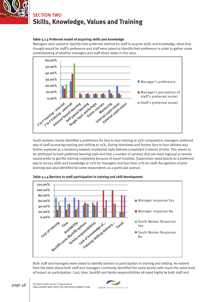

#### **Table 5.1.3 Preferred model of acquiring skills and knowledge**

Managers were asked to identify their preferred method for staff to acquire skills and knowledge, what they thought would be staff's preference and staff were asked to identify their preference in order to gather some understanding of whether managers and staff share views in this area.



Youth workers clearly identified a preference for face to face training at 55% compared to managers preferred way of staff accessing training and skilling at 25%. During interviews and forums face to face delivery was further explored as a tendency towards residential style delivery completed in blocks of time. This seems to be attributed to both preferred learning style and that a number of services that are more regional or remote would prefer to get the training completed because of travel involved. Supervision rated poorly as a preferred way to access skills and knowledge at 20% for managers and less than 10% for staff. Recognition of prior learning was also identified by some respondents as a particular avenue.



**Table 5.1.4 Barriers to staff participation in training and skill development** 

Both staff and managers were asked to identify barriers to participation in training and skilling. As evident from the table above both staff and managers commonly identified the same barrier with much the same level of impact on participation. Cost, time, backfill and family responsibilities all rated highly by both staff and

The Murri Youth Sector in Queensland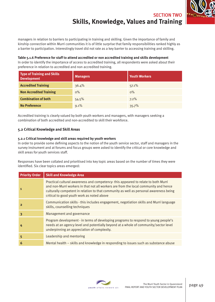

managers in relation to barriers to participating in training and skilling. Given the importance of family and kinship connection within Murri communities it is of little surprise that family responsibilities ranked highly as a barrier to participation. Interestingly travel did not rate as a key barrier to accessing training and skilling.

**Table 5.1.6 Preference for staff to attend accredited or non accredited training and skills development** In order to identify the importance of access to accredited training, all respondents were asked about their preference in relation to accredited and non accredited training.

| Type of Training and Skills<br><b>Development</b> | <b>Managers</b> | <b>Youth Workers</b> |
|---------------------------------------------------|-----------------|----------------------|
| <b>Accredited Training</b>                        | 36.4%           | 57.1%                |
| <b>Non Accredited Training</b>                    | $0\%$           | $0\%$                |
| <b>Combination of both</b>                        | 54.5%           | 7.2%                 |
| <b>No Preference</b>                              | 9.1%            | 35.7%                |

Accredited training is clearly valued by both youth workers and managers, with managers seeking a combination of both accredited and non-accredited to skill their workforce.

### **5.2 Critical Knowledge and Skill Areas**

#### **5.2.1 Critical knowledge and skill areas required by youth workers**

In order to provide some defining aspects to the notion of the youth service sector, staff and managers in the survey instrument and at forums and focus groups were asked to identify the critical or core knowledge and skill areas for youth services staff.

Responses have been collated and prioritised into key topic areas based on the number of times they were identified. Six clear topics areas emerged:

| <b>Priority Order</b>   | <b>Skill and Knowledge Area</b>                                                                                                                                                                                                                                                                                   |
|-------------------------|-------------------------------------------------------------------------------------------------------------------------------------------------------------------------------------------------------------------------------------------------------------------------------------------------------------------|
| $\mathbf{1}$            | Practical cultural awareness and competency-this appeared to relate to both Murri<br>and non-Murri workers in that not all workers are from the local community and hence<br>culturally competent in relation to that community as well as personal awareness being<br>critical to good youth work as noted above |
| $\overline{2}$          | Communication skills - this includes engagement, negotiation skills and Murri language<br>skills, counselling techniques                                                                                                                                                                                          |
| $\overline{\mathbf{3}}$ | Management and governance                                                                                                                                                                                                                                                                                         |
| 4                       | Program development - in terms of developing programs to respond to young people's<br>needs at an agency level and potentially beyond at a whole of community/sector level<br>underpinning an appreciation of complexity.                                                                                         |
| 5                       | Leadership and mentoring                                                                                                                                                                                                                                                                                          |
| 6                       | Mental health – skills and knowledge in responding to issues such as substance abuse                                                                                                                                                                                                                              |

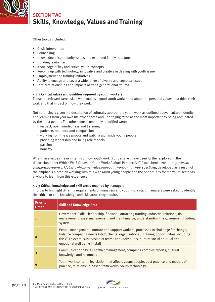

Other topics included:

- Crisis intervention
- Counselling
- Knowledge of community issues and extended family structures
- Building resilience
- Knowledge of key and critical youth concepts
- Keeping up with technology, innovative and creative in dealing with youth issue
- Employment and training initiatives
- Ability to engage and cover a wide range of diverse and complex issues
- Family relationships and impacts of trans-generational trauma

### **5.2.2 Critical values and qualities required by youth workers**

Those interviewed were asked what makes a good youth worker and about the personal values that drive their work and that impact on how they work.

Not surprisingly given the description of culturally appropriate youth work as outlined above, cultural identity and learning from your own life experiences and upbringing rated as the most important by being nominated by the most people. The others most commonly identified were:

- respect, open mindedness and listening
- patience, tolerance and compassion
- working from the grassroots and walking alongside young people
- providing leadership and being role models
- passion
- honesty

What these values mean in terms of how youth work is undertaken have been further explored in the discussion paper ;Which Wei? Values in Youth Work: A Murri Perspective" (Lucashenko 2010), *http://www. yanq.org.au/our-work/2611-qwhich-wei-values-in-youth-work-a-murri-perspectiveq*, developed as a result of the emphasis placed on working with this with Murri young people and the opportunity for the youth sector as a whole to learn from this experience.

### **5.2.3 Critical knowledge and skill areas required by managers**

In order to highlight differing requirements of managers and youth work staff, managers were asked to identify the critical or core knowledge and skill areas they require.

| Priority<br><b>Order</b> | <b>Skill and Knowledge Area</b>                                                                                                                                                                                                                                                                          |
|--------------------------|----------------------------------------------------------------------------------------------------------------------------------------------------------------------------------------------------------------------------------------------------------------------------------------------------------|
|                          | Governance Skills - leadership, financial, attracting funding, industrial relations, risk<br>management, asset management and maintenance, understanding the government funding<br>system.                                                                                                               |
| 2                        | People management - nurture and support workers, processes to challenge for change,<br>balance competing needs (staff, clients, organisational), training opportunities including<br>the VET system, supervision of teams and individuals, nurture social spiritual and<br>emotional well being in staff |
| 3                        | Communication Skills - conflict management, compiling complex reports, cultural<br>knowledge and resources                                                                                                                                                                                               |
| 4                        | Youth work content - legislation that affects young people, best practice and models of<br>practice, relationship based frameworks, youth technology                                                                                                                                                     |

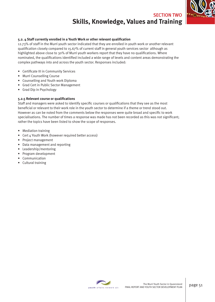

#### **5.2. 4 Staff currently enrolled in a Youth Work or other relevant qualifi cation**

12.73% of staff in the Murri youth sector indicated that they are enrolled in youth work or another relevant qualification closely compared to 15.67% of current staff in general youth services sector although as highlighted above close to 30% of Murri youth workers report that they have no qualifications. Where nominated, the qualifications identified included a wide range of levels and content areas demonstrating the complex pathways into and across the youth sector. Responses included:

- Certificate III in Community Services
- Murri Counselling Course
- Counselling and Youth work Diploma
- Grad Cert in Public Sector Management
- Grad Dip in Psychology

#### **5.2.5 Relevant course or qualifications**

Staff and managers were asked to identify specific courses or qualifications that they see as the most beneficial or relevant to their work role in the youth sector to determine if a theme or trend stood out. However as can be noted from the comments below the responses were quite broad and specific to work specialisations. The number of times a response was made has not been recorded as this was not significant; rather the topics have been listed to show the scope of responses.

- Mediation training
- Cert 4 Youth Work (however required better access)
- Project management
- Data management and reporting
- Leadership/mentoring
- Program development
- Communication
- Cultural training

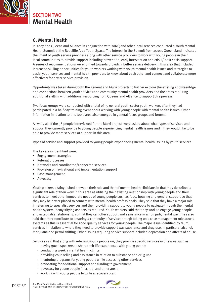

**Mental Health** SECTION TWO

### 6. Mental Health

In 2007, the Queensland Alliance in conjunction with YANQ and other local services conducted a Youth Mental Health Summit at the Redcliffe Area Youth Space. The interest in the Summit from across Queensland indicated the intent of youth service providers along with other service providers to work with young people in their local communities to provide support including prevention, early intervention and crisis/ post crisis support. A series of recommendations were formed towards providing better service delivery in this area that included increased skilling opportunities for youth workers working with youth mental health issues and strategies to assist youth services and mental health providers to know about each other and connect and collaborate more effectively for better service provision.

Opportunity was taken during both the general and Murri projects to further explore the existing knowleentdge and connections between youth services and community mental health providers and the areas requiring additional skilling with additional resourcing from Queensland Alliance to support this process.

Two focus groups were conducted with a total of 39 general youth sector youth workers after they had participated in a half day training event about working with young people with mental health issues. Other information in relation to this topic area also emerged in general focus groups and forums.

As well, all of the 38 people interviewed for the Murri project were asked about what types of services and support they currently provide to young people experiencing mental health issues and if they would like to be able to provide more services or support in this area.

Types of service and support provided to young people experiencing mental health issues by youth services

The key areas identified were:

- Engagement strategies
- Referral processes
- Networks and coordinated/connected services
- Provision of navigational and implementation support
- Case management
- Advocacy

Youth workers distinguished between their role and that of mental health clinicians in that they described a significant role of their work in this area as utilising their existing relationship with young people and their services to meet other immediate needs of young people such as food, housing and general support so that they may be better placed to connect with mental health professionals. They said that they have a major role in referring to specialist services and then providing support to young people to navigate through the mental health system, demystifying aspects as required. Youth workers said that they work to engage young people and establish a relationship so that they can offer support and assistance in a non judgmental way. They also said that they contribute to ensuring a continuity of service through taking on a case management role across systems as this is essential for good quality services for young people. The major issue identified by Murri services in relation to where they need to provide support was substance and drug use, in particular alcohol, marijuana and petrol sniffing. Other issues requiring service support included depression and affects of abuse.

Services said that along with referring young people on, they provide specific services in this area such as:

- having guest speakers to share their life experiences with young people
- conducting weekly mental health clinics
- providing counselling and assistance in relation to substance and drug use
- mentoring programs for young people while accessing other services
- advocating for additional support and funding to government
- advocacy for young people in school and other areas
- working with young people to write a recovery plan.

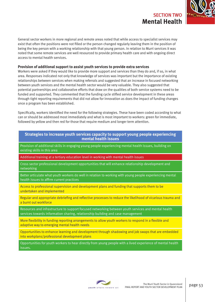

General sector workers in more regional and remote areas noted that while access to specialist services may exist that often the positions were not filled or the person changed regularly leaving them in the position of being the key person with a working relationship with that young person. In relation to Murri services it was noted that some remote services are well resourced to provide primary health care and with ongoing direct access to mental health services.

### **Provision of additional support to assist youth services to provide extra services**

Workers were asked if they would like to provide more support and services than they do and, if so, in what area. Responses indicated not only that knowledge of services was important but the importance of existing relationships between services when making referrals and suggested that an increase in focused networking between youth services and the mental health sector would be very valuable. They also suggested that potential partnerships and collaborative efforts that draw on the qualities of both service systems need to be funded and supported. They commented that the funding cycle stifled service development in these areas through tight reporting requirements that did not allow for innovation as does the impact of funding changes once a program has been established.

Specifically, workers identified the need for the following strategies. These have been coded according to what can or should be addressed most immediately and what is most important to workers: green for immediate, followed by yellow and then red for those that require medium and longer term attention.

### **Strategies to increase youth services capacity to support young people experiencing mental health issues**

Provision of additional skills in engaging young people experiencing mental health issues, building on existing skills in this area

Additional training at a tertiary education level in working with mental health issues

Cross sector professional development opportunities that will enhance relationship development and networking

Better articulate what youth workers do well in relation to working with young people experiencing mental health issues to affirm current practices

Access to professional supervision and development plans and funding that supports them to be undertaken and implemented

Regular and appropriate debriefing and reflective processes to reduce the likelihood of vicarious trauma and a burnt out workforce

Resources and infrastructure to support focused networking between youth services and mental health services towards information sharing, relationship building and case management

More flexibility in funding reporting arrangements to allow youth workers to respond in a flexible and adaptive way to emerging mental health needs

Opportunities to enhance learning and development through shadowing and job swaps that are embedded into workplans/professional development plans

Opportunities for youth workers to hear directly from young people with a lived experience of mental health issues.

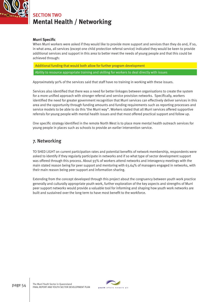

# **Mental Health / Networking** SECTION TWO

### **Murri Specific**

When Murri workers were asked if they would like to provide more support and services than they do and, if so, in what area, all services (except one child protection referral service) indicated they would be keen to provide additional services and support in this area to better meet the needs of young people and that this could be achieved through:

Additional funding that would both allow for further program development

Ability to resource appropriate training and skilling for workers to deal directly with issues

Approximately 90% of the services said that staff have no training in working with these issues.

Services also identified that there was a need for better linkages between organisations to create the system for a more unified approach with stronger referral and service provision networks. Specifically, workers identified the need for greater government recognition that Murri services can effectively deliver services in this area and the opportunity through funding amounts and funding requirements such as reporting processes and service models to be able to do this 'the Murri way". Workers stated that all Murri services offered supportive referrals for young people with mental health issues and that most offered practical support and follow up.

One specific strategy identified in the remote North West is to place more mental health outreach services for young people in places such as schools to provide an earlier intervention service.

### 7. Networking

TO SHED LIGHT on current participation rates and potential benefits of network membership, respondents were asked to identify if they regularly participate in networks and if so what type of sector development support was offered through this process. About 93% of workers attend networks and interagency meetings with the main stated reason being for peer support and mentoring with 63.64% of managers engaged in networks, with their main reason being peer support and information sharing.

Extending from the concept developed through this project about the congruency between youth work practice generally and culturally appropriate youth work, further exploration of the key aspects and strengths of Murri peer support networks would provide a valuable tool for informing and shaping how youth work networks are built and sustained over the long term to have most benefit to the workforce.

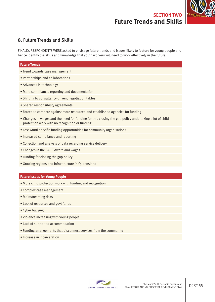### **Future Trends and Skills** SECTION TWO



### 8. Future Trends and Skills

FINALLY, RESPONDENTS WERE asked to envisage future trends and issues likely to feature for young people and hence identify the skills and knowledge that youth workers will need to work effectively in the future.

#### **Future Trends**

- Trend towards case management
- Partnerships and collaborations
- Advances in technology
- More compliance, reporting and documentation
- Shifting to consultancy driven, negotiation tables
- Shared responsibility agreements
- Forced to compete against more resourced and established agencies for funding
- Changes in wages and the need for funding for this closing the gap policy undertaking a lot of child protection work with no recognition or funding
- Less Murri specific funding opportunities for community organisations
- Increased compliance and reporting
- Collection and analysis of data regarding service delivery
- Changes in the SACS Award and wages
- Funding for closing the gap policy
- Growing regions and infrastructure in Queensland

#### **Future Issues for Young People**

- More child protection work with funding and recognition
- Complex case management
- Mainstreaming risks
- Lack of resources and govt funds
- Cyber bullying
- Violence increasing with young people
- Lack of supported accommodation
- Funding arrangements that disconnect services from the community
- Increase in incarceration

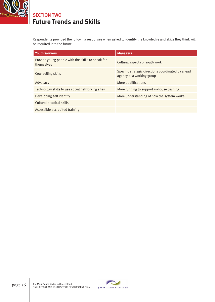

# **Future Trends and Skills** SECTION TWO

Respondents provided the following responses when asked to identify the knowledge and skills they think will be required into the future.

| <b>Youth Workers</b>                                            | <b>Managers</b>                                                                  |
|-----------------------------------------------------------------|----------------------------------------------------------------------------------|
| Provide young people with the skills to speak for<br>themselves | Cultural aspects of youth work                                                   |
| Counselling skills                                              | Specific strategic directions coordinated by a lead<br>agency or a working group |
| Advocacy                                                        | More qualifications                                                              |
| Technology skills to use social networking sites                | More funding to support in-house training                                        |
| Developing self identity                                        | More understanding of how the system works                                       |
| Cultural practical skills                                       |                                                                                  |
| Accessible accredited training                                  |                                                                                  |

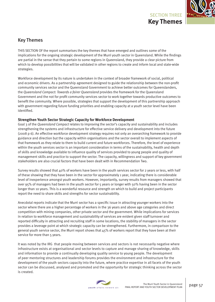

### Key Themes

THIS SECTION OF the report summarises the key themes that have emerged and outlines some of the implications for the ongoing strategic development of the Murri youth sector in Queensland. While the findings are partial in the sense that they pertain to some regions in Queensland, they provide a clear picture from which to develop possibilities that will be validated in other regions to create and inform local and state-wide strategies.

Workforce development by its nature is undertaken in the context of broader framework of social, political and economic drivers. As a partnership agreement designed to guide the relationship between the non-profit community services sector and the Queensland Government to achieve better outcomes for Queenslanders, the *Queensland Compact: Towards a fairer Queensland* provides the framework for the Queensland Government and the not for profit community services sector to work together towards productive outcomes to benefit the community. Where possible, strategies that support the development of this partnership approach with government regarding future funding priorities and enabling capacity at a youth sector level have been identified.

### **Strengthen Youth Sector Strategic Capacity for Workforce Development**

Goal 3 of the *Queensland Compact* relates to improving the sector's capacity and sustainability and includes strengthening the systems and infrastructure for effective service delivery and development into the future (2008 p 6). An effective workforce development strategy requires not only an overarching framework to provide guidance and direction but the capacity within organisations and the sector overall to implement aspects of that framework as they relate to them to build current and future workforces. Therefore, the level of experience within the youth services sector is an important consideration in terms of the sustainability, health and depth of skills and knowledge available to influence quality of services provided to young people and quality of management skills and practice to support the sector. The capacity, willingness and support of key government stakeholders are also crucial factors that have been dealt with in Recommendation Two.

Survey results showed that 40% of workers have been in the youth services sector for 2 years or less, with half of these showing that they have been in the sector for approximately 1 year, indicating there is considerable level of inexperience amongst youth workers. However, importantly, survey results from managers showed that over 95% of managers had been in the youth sector for 5 years or longer with 50% having been in the sector longer than 10 years. This is a wonderful resource and strength on which to build and project participants report the need to share skills and strengths for sector sustainability.

Anecdotal reports indicate that the Murri sector has a specific issue in attracting younger workers into the sector where there are a higher percentage of workers in the 36 years and above age categories and direct competition with mining companies, other private sector and the government. While implications for services in relation to workforce management and sustainability of services are evident given staff turnover and reported difficulty in attracting and recruiting staff in some locations, the stability of managers in the sector provides a leverage point at which strategic capacity can be strengthened. Furthermore, in comparison to the general youth service sector, the Murri report shows that  $45\%$  of workers report that they have been at their service for more than 5 years.

It was noted by the IRG that people moving between services and sectors is not necessarily negative where infrastructure exists at organisational and sector levels to capture and manage sharing of knowledge, skills and information to provide a continually developing quality service to young people. The development of peer mentoring structures and leadership forums provides the environment and infrastructure for the development of the youth sectors capacity into the future, where practice expertise in all facets of the youth sector can be discussed, analysed and promoted and the opportunity for strategic thinking across the sector is created.

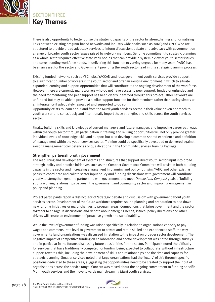

SECTION THREE **Key Themes**

There is also opportunity to better utilise the strategic capacity of the sector by strengthening and formalising links between existing program-based networks and industry wide peaks such as YANQ and QYHC who are structured to provide broad advocacy services to inform discussion, debate and advocacy with government on a range of broader youth sector issues raised by network members. Genuine commitment to strategic planning as a whole sector requires effective state Peak bodies that can provide a systemic view of youth sector issues and corresponding workforce needs. In delivering this function to varying degrees for many years, YANQ has been an asset for the sector and Government providing the youth sector lead in this strategic planning process.

Existing funded networks such as YSC hubs, YACCAN and local government youth services provide support to a significant number of workers in the youth sector and offer an existing environment in which to situate expanded learning and support opportunities that will contribute to the ongoing development of the workforce. However, there are currently many workers who do not have access to peer support, funded or unfunded and the need for mentoring and peer support has been clearly identified through this project. Other networks are unfunded but may be able to provide a similar support function for their members rather than acting simply as an interagency if adequately resourced and supported to do so.

Opportunity exists to learn about and from the Murri youth services sector in their value driven approach to youth work and to consciously and intentionally import these strengths and skills across the youth services sector.

Finally, building skills and knowledge of current managers and future managers and improving career pathways within the youth sector through participation in training and skilling opportunities will not only provide greater individual levels of knowledge, skill and support but also develop a common shared experience and definition of management within the youth services sector. Training could be specifically developed or delivered against existing management competencies or qualifications in the Community Services Training Package.

### **Strengthen partnership with government**

The resourcing and development of systems and structures that support direct youth sector input into broad strategic policy and practice initiatives such as the Compact Governance Committee will assist in both building capacity in the sector and increasing engagement in planning and policy. Utilising YANQ and other existing peaks to coordinate and collate sector input policy and funding discussions with government will contribute greatly to strengthen genuine partnership with government and meet *Queensland Compact* goals of building strong working relationships between the government and community sector and improving engagement in policy and planning.

Project participants report a distinct lack of 'strategic debate and discussion' with government about youth services sector. Development of the future workforce requires sound planning and preparation to bed down new funding initiatives or major changes to program areas. Connections that bring government and the sector together to engage in discussions and debate about emerging needs, issues, policy directions and other drivers will create an environment of proactive growth and sustainability.

While the level of government funding was raised specifically in relation to organisations capacity to pay wages at a commensurate level to government to attract and retain skilled and experienced staff, the way governments fund organisations was discussed in relation to the impact on broader sector development. The negative impact of competitive funding on collaboration and sector development was noted through surveys and in particular in the forums discussing future possibilities for the sector. Participants noted the difficulty for services that have traditionally competed for funding being expected to collaborate without infrastructure support towards this, including the development of skills and relationships and the time and capacity for strategic planning. Smaller services noted that large organisations had the 'luxury' of this through specific positions dedicated to these areas, suggesting that opportunities need to be created to support the input of organisations across the service range. Concern was raised about the ongoing commitment to funding specific Murri youth services and the move towards mainstreaming Murri youth services.

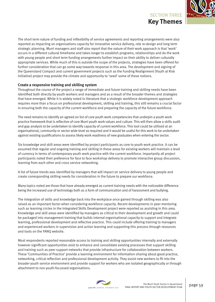

The short term nature of funding and inflexibility of service agreements and reporting arrangements were also reported as impacting on organisations capacity for innovative service delivery, role re-design and long term strategic planning. Murri managers and staff also report that the nature of their work approach is that 'work' occurs in a different cultural timeframe and takes longer to establish programs, relationships and do the work with young people and short term funding arrangements further impact on their ability to deliver culturally appropriate services. While much of this is outside the scope of the projects, strategies have been offered for further consideration that can go some way towards response in this area. The development and signing of the Queensland Compact and current government projects such as the Funding Realignment (Youth at Risk Initiative) project may provide the climate and opportunity to 'seed' some of these notions.

### **Create a responsive training and skilling system**

Throughout the course of the project a range of immediate and future training and skilling needs have been identified both directly by youth workers and managers and as a result of the broader themes and strategies that have emerged. While it is widely noted in literature that a strategic workforce development approach requires more than a focus on professional development, skilling and training, this still remains a crucial factor in ensuring both the capacity of the current workforce and preparing the capacity of the future workforce.

The need remains to identify an agreed on list of core youth work competencies that underpin a youth work practice framework that is reflective of core Murri youth work values and culture. This will then allow a skills audit and gap analysis to be undertaken to identify capacity of current workforce. This tool could be utilised at an organisational, community or sector wide level as required and it would be useful for this work to be undertaken against existing qualifications to assess likely work readiness of new graduates when entering the sector.

Six knowledge and skill areas were identified by project participants as core to youth work practice. It can be assumed that regular and ongoing training and skilling in these areas for existing workers will maintain a level of currency in terms of contemporary youth work practice with the current workforce. Importantly all project participants noted their preference for face to face workshop delivery to promote interactive group discussion, learning from each other and cross service networking.

A list of future trends was identified by managers that will impact on service delivery to young people and create corresponding skilling needs for consideration in the future to prepare our workforce.

Many topics noted are those that have already emerged as current training needs with the noticeable difference being the increased use of technology both as a form of communication and of harassment and bullying.

The integration of skills and knowledge back into the workplace once gained through skilling was also raised as an important factor when considering workforce capacity. Recent developments in peer mentoring such as learning circles in the Integrated Skills Development project were reported as assisting in this area. Knowledge and skill areas were identified by managers as critical to their development and growth and could be packaged into management training that builds internal organisational capacity to support and integrate learning, professional development and reflective practice. This could include offering training to managers and experienced workers in supervision and action learning and supporting this process through resources and tools on the YANQ website.

Most respondents reported reasonable access to training and skilling opportunities internally and externally however significant opportunities exist to enhance and consolidate existing processes that support skilling and training such as peer support networks that provide infrastructure for collaboration between workers. These 'Communities of Practice' provide a learning environment for information-sharing about good practice, networking, critical reflection and professional development activity. They assist new workers to fit into the broader youth service environment and provide support for workers who are isolated geographically or through attachment to non youth-focussed organisations.

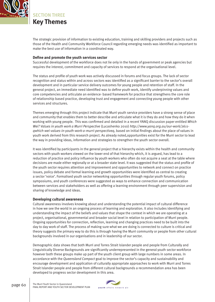

**Key Themes** SECTION THREE

The strategic provision of information to existing education, training and skilling providers and projects such as those of the Health and Community Workforce Council regarding emerging needs was identified as important to make the best use of information in a coordinated way.

#### **Define and promote the youth services sector**

Successful development of the workforce does not lie only in the hands of government or peak agencies but requires the interest, commitment and capacity of services to respond at the organisational level.

The status and profile of youth work was actively discussed in forums and focus groups. The lack of sector recognition and status within and across sectors was identified as a significant barrier to the sector's overall development and in particular service delivery outcomes for young people and retention of staff. In the general project, an immediate need identified was to define youth work, identify underpinning values and core competencies and articulate an evidence- based framework for practice that strengthens the core role of relationship based practice, developing trust and engagement and connecting young people with other services and structures.

Themes emerging through this project indicate that Murri youth service providers have a strong sense of place and community that enables them to better describe and articulate what it is they do and how they do it when working with young people. This was confirmed and detailed in a recent YANQ discussion paper entitled *Which Wei? Values in youth work a Murri Perspective* (Lucashenko 2010) *http://www.yanq.org.au/our-work/2611 qwhich-wei-values-in-youth-work-a-murri-perspectiveq*, based on initial findings about the place of values in youth work derived from this research project. As already noted,opportunities exist for the Murri sector to lead the way in providing ideas, information and strategies to strengthen the youth sector overall.

It was identified by participants in the general project that a hierarchy exists within the health and community sectors with youth workers viewed on the lower end of that hierarchy which, it is argued, has lead to a reduction of practice and policy influence by youth workers who often do not acquire a seat at the table where decisions are made either regionally or at a broader state level. It was suggested that the status and profile of the youth sector requires attention and improvement and opportunities to network and connect on practice issues, policy debate and formal learning and growth opportunities were identified as central to creating a sector 'voice'. Formalised youth sector networking opportunities through regular youth forums, policy symposiums, and youth conferences were suggested as ways to enhance connection and communication between services and stakeholders as well as offering a learning environment through peer supervision and sharing of knowledge and ideas.

### **Developing cultural awareness**

Cultural awareness involves knowing about and understanding the potential impact of cultural difference in how we see the world in an ongoing process of learning and exploration. It also includes identifying and understanding the impact of the beliefs and values that shape the context in which we are operating at a project, organisational, governmental and broader social level in relation to participation of Murri people. Ongoing opportunities for connection, reflection, learning and changing practices need to be built into the day to day work of staff. The process of making sure what we are doing is connected to culture is critical and theory suggests the primary way to do this is through having the Murri community or people from other cultural backgrounds involved in our organisations and in leadership of our sector.

Demographic data shows that both Murri and Torres Strait Islander people and people from Culturally and Linguistically Diverse Backgrounds are significantly underrepresented in the general youth sector workforce however both these groups make up part of the youth client group with large numbers in some areas. In accordance with the *Queensland Compact* goal to improve the sector's capacity and sustainability and encourage development and application of culturally appropriate approaches to work with Murri and Torres Strait Islander people and people from different cultural backgrounds a recommendation area has been developed to progress sector development in this area.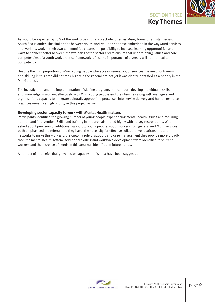

As would be expected, 91.8% of the workforce in this project identified as Murri, Torres Strait Islander and South Sea Islander. The similarities between youth work values and those embedded in the way Murri services and workers, work in their own communities creates the possibility to increase learning opportunities and ways to connect better between the two parts of the sector and to ensure that underpinning values and core competencies of a youth work practice framework reflect the importance of diversity will support cultural competency.

Despite the high proportion of Murri young people who access general youth services the need for training and skilling in this area did not rank highly in the general project yet it was clearly identified as a priority in the Murri project.

The investigation and the implementation of skilling programs that can both develop individual's skills and knowledge in working effectively with Murri young people and their families along with managers and organisations capacity to integrate culturally appropriate processes into service delivery and human resource practices remains a high priority in this project as well.

### **Developing sector capacity to work with Mental Health matters**

Participants identified the growing number of young people experiencing mental health issues and requiring support and intervention. Skills and training in this area also rated highly with survey respondents. When asked about provision of additional support to young people, youth workers from general and Murri services both emphasised the referral role they have, the necessity for effective collaborative relationships and networks to make this work and the ongoing role of support and case management they provide more broadly than the mental health system. Additional skilling and workforce development were identified for current workers and the increase of needs in this area was identified in future trends.

A number of strategies that grow sector capacity in this area have been suggested.

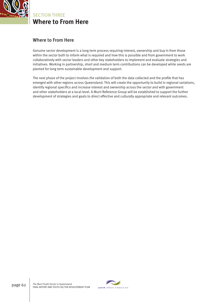

**Where to From Here** SECTION THREE

### Where to From Here

Genuine sector development is a long term process requiring interest, ownership and buy in from those within the sector both to inform what is required and how this is possible and from government to work collaboratively with sector leaders and other key stakeholders to implement and evaluate strategies and initiatives. Working in partnership, short and medium term contributions can be developed while seeds are planted for long term sustainable development and support.

The next phase of the project involves the validation of both the data collected and the profile that has emerged with other regions across Queensland. This will create the opportunity to build in regional variations, identify regional specifics and increase interest and ownership across the sector and with government and other stakeholders at a local level. A Murri Reference Group will be established to support the further development of strategies and goals to direct effective and culturally appropriate and relevant outcomes.

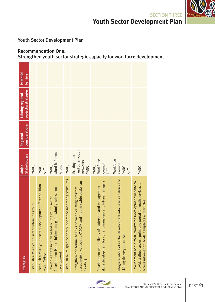

### Youth Sector Development Plan

### Recommendation One: Strengthen youth sector strategic capacity for workforce development

| <b>Strategies</b>                                                                                                                                                               | <b>Stakeholders</b><br>Major                         | considerations<br>Regional | projects/strategies<br><b>Existing regional</b> | Potential<br><b>barriers</b> |
|---------------------------------------------------------------------------------------------------------------------------------------------------------------------------------|------------------------------------------------------|----------------------------|-------------------------------------------------|------------------------------|
| Establish a Murri youth sector reference group                                                                                                                                  | YANQ                                                 |                            |                                                 |                              |
| Establish a Murri youth sector development officer position<br>within YANQ                                                                                                      | YANQ<br>OFY                                          |                            |                                                 |                              |
| Development Plan to inform and guide Murri youth sector<br>the youth sector<br>Develop a strategic plan based on<br>development                                                 | Murri Reference<br>Group<br>YANQ                     |                            |                                                 |                              |
| Establish Murri specific peer support and mentoring structures                                                                                                                  | YANQ                                                 |                            |                                                 |                              |
| based networks such as YACCAN and industry wide peaks such<br>Strengthen and formalise links between existing program<br>as YANQ                                                | and other youth<br>Existing peer<br>networks<br>YANQ |                            |                                                 |                              |
| skills development for current managers and future managers<br>Development and delivery of leadership and management                                                            | Workforce<br>Council<br>YANQ<br>DET                  |                            |                                                 |                              |
| Integrate whole of sector development into needs analysis and<br>skilling delivery processes                                                                                    | Workforce<br>Council<br>YANQ<br>OFY                  |                            |                                                 |                              |
| Development of the YANQ Workforce Development website to<br>provide a direct access point and portal for youth services to<br>access information, tools, templates and articles | YANQ                                                 |                            |                                                 |                              |

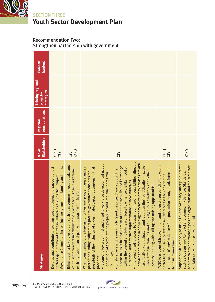

### Recommendation Two: Strengthen partnership with government

| <b>Strategies</b>                                                                                                                                                                                                                                                                                                                                                                                                                                                                                                                                                                                                                                                                                                                                                                                                                                                                                                                                                                                                                                              | <b>Stakeholders</b><br>Major | considerations<br>Regional | <b>Existing regional</b><br><b>strategies</b><br><b>projects</b> | Potential<br><b>barriers</b> |
|----------------------------------------------------------------------------------------------------------------------------------------------------------------------------------------------------------------------------------------------------------------------------------------------------------------------------------------------------------------------------------------------------------------------------------------------------------------------------------------------------------------------------------------------------------------------------------------------------------------------------------------------------------------------------------------------------------------------------------------------------------------------------------------------------------------------------------------------------------------------------------------------------------------------------------------------------------------------------------------------------------------------------------------------------------------|------------------------------|----------------------------|------------------------------------------------------------------|------------------------------|
| Governance Committee increasing engagement in planning and policy<br>Develop and contribute to systems and structures that support direct<br>sector input into broad strategic initiatives such as the Compact                                                                                                                                                                                                                                                                                                                                                                                                                                                                                                                                                                                                                                                                                                                                                                                                                                                 | YANQ<br><b>OFY</b>           |                            |                                                                  |                              |
| Bring together key stakeholders such as government, youth peaks and<br>youth sector leaders in a 'think tank' process to engage in a genuine<br>exchange about social policy and practice implications                                                                                                                                                                                                                                                                                                                                                                                                                                                                                                                                                                                                                                                                                                                                                                                                                                                         | YANQ<br><b>OFY</b>           |                            |                                                                  |                              |
| . improved ongoing access to 'capacity enhancing possibilities' direct to<br>services and codified in service agreements whereby services are able<br>· resourcing towards initial and ongoing workforce development needs<br>to effectively participate in and report on their participation in sector<br>sector to assist in development of appropriate skills and knowledge<br>within the current and future workforce to enhance the likelihood of<br>possibility of the inclusion of a 'designated capacity component' that<br>When considering future funding priorities and program areas and as<br>e project' and support the<br>wide strategic planning and thinking through networks and other<br>part of the funding realignment process government considers the<br>and implement program<br>successful and effective implementation of new initiatives<br>processes along with skilling and training opportunities<br>$\bullet$ timely advice and resourcing to 'seed th<br>at a whole of sector level to prepare for<br>initiatives<br>provides: | <b>OFY</b>                   |                            |                                                                  |                              |
| continuum of service delivery from prevention through early intervention<br>YANQ to engage with government and advocate on behalf of the youth<br>sector to inform service system review processes to consider the<br>to crisis management                                                                                                                                                                                                                                                                                                                                                                                                                                                                                                                                                                                                                                                                                                                                                                                                                     | YANQ<br>OFY                  |                            |                                                                  |                              |
| Support service capacity to make links between key strategic initiatives<br>and day to day operations to position organisations and the sector for<br>such as Queensland Compact and Community Services Standards,<br>sustainable workforce development                                                                                                                                                                                                                                                                                                                                                                                                                                                                                                                                                                                                                                                                                                                                                                                                        | YANQ                         |                            |                                                                  |                              |



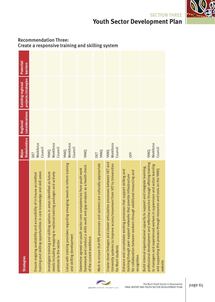| <b>Strategies</b>                                                                                                                                                                                                                                                                                                   | <b>Stakeholders</b><br>Major | considerations<br><b>Regional</b> | projects/strategies<br>Existing regional | Potential<br><b>barriers</b> |                                                  |
|---------------------------------------------------------------------------------------------------------------------------------------------------------------------------------------------------------------------------------------------------------------------------------------------------------------------|------------------------------|-----------------------------------|------------------------------------------|------------------------------|--------------------------------------------------|
| training and skilling opportunities in core knowledge and skill areas<br>Ensure ongoing availability and accessibility of in-house accredited                                                                                                                                                                       | Workforce<br>Council<br>DET  |                                   |                                          |                              |                                                  |
| needs including mapping to national training packages and actively<br>nvestigate training and skilling options in areas identified as future<br>promote to the sector                                                                                                                                               | Workforce<br>Council<br>YANQ |                                   |                                          |                              | Create a responsive training and skilling system |
| Liaise with training providers regarding emerging needs to inform training<br>and skilling development                                                                                                                                                                                                              | Workforce<br>Council<br>YANQ |                                   |                                          |                              |                                                  |
| framework and conduct a skills audit and gap analysis as a health check<br>Determine agreed-on youth sector core competencies from youth work<br>of the current workforce                                                                                                                                           | YANQ                         |                                   |                                          |                              |                                                  |
| are culturally appropriate<br>Work to ensure that RPL processes and systems                                                                                                                                                                                                                                         | YANQ<br>DET                  |                                   |                                          |                              |                                                  |
| Create closer linkages and clearer articulation processes between VET and<br>University systems to improve access/movement from VET to Universities<br>for Murri students                                                                                                                                           | Workforce<br>Council<br>YANQ |                                   |                                          |                              |                                                  |
| Enhance and consolidate existing processes that support skilling and<br>for collaboration between workers through additional resourcing and<br>training through peer support networks that provide infrastructure<br>ecognition                                                                                     | <b>OFY</b>                   |                                   |                                          |                              |                                                  |
| professional development and reflective practice through offering training<br>to managers and experienced workers in supervision and action learning<br>Build internal organisational capacity to support and integrate learning,<br>and supporting this process through resources and tools on the YANQ<br>website | Workforce<br>Council<br>YANQ |                                   |                                          |                              |                                                  |

# Recommendation Three:





**Youth Sector Development Plan**

SECTION THREE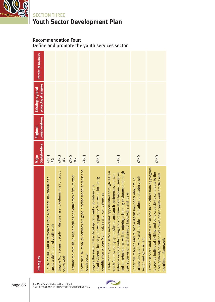

### Recommendation Four: Define and promote the youth services sector

| <b>Strategies</b>                                                                                                                                                                                                                                                                                                                         | <b>Stakeholders</b><br>Major | considerations<br><b>Regional</b> | projects/strategies<br><b>Existing regional</b> | <b>Potential barriers</b> |
|-------------------------------------------------------------------------------------------------------------------------------------------------------------------------------------------------------------------------------------------------------------------------------------------------------------------------------------------|------------------------------|-----------------------------------|-------------------------------------------------|---------------------------|
| Utilise the IRG, Murri Reference Group and other stakeholders to<br>create a definition of youth work                                                                                                                                                                                                                                     | YANQ<br><b>IRG</b>           |                                   |                                                 |                           |
| Engage Murri young people in discussing and defining the concept of<br>youth work                                                                                                                                                                                                                                                         | YANQ<br>OFY                  |                                   |                                                 |                           |
| Promote the core skills and practices and outcomes of youth work                                                                                                                                                                                                                                                                          | YANQ<br><b>OFY</b>           |                                   |                                                 |                           |
| Show case Murri youth services are good practice models across the<br>youth sector                                                                                                                                                                                                                                                        | YANQ                         |                                   |                                                 |                           |
| broad evidence based youth work practice framework, including<br>Engage the sector in the development and articulation of a<br>identification of core Murri values and competencies                                                                                                                                                       | YANQ                         |                                   |                                                 |                           |
| Create formal youth sector networking opportunities through regular<br>and stakeholders as well as offering a learning environment through<br>enhance existing networking and communication between services<br>youth forums, policy symposiums, and youth conferences that can<br>and ideas<br>peer supervision and sharing of knowledge | YANQ                         |                                   |                                                 |                           |
| culture and youth work and provide information to broader youth<br>Undertake research and release a discussion paper about Murri<br>sector and government                                                                                                                                                                                 | YANQ                         |                                   |                                                 |                           |
| an ethics training program<br>to provide individual skilling and build capacity to contribute to the<br>development/articulation of values based youth work practice and<br>Provide services and workers with access to<br>recruitment framework                                                                                          | YANQ                         |                                   |                                                 |                           |

The Murri Youth Sector in Queensland page 66 FINAL REPORT AND YOUTH SECTOR DEVELOPMENT PLAN

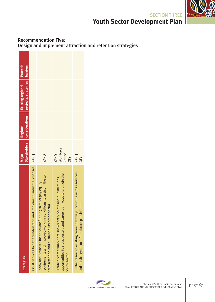

### Recommendation Five: Design and implement attraction and retention strategies

| <b>Strategies</b>                                                                                                                                                                   | Major                               | <b>Regional</b> | Stakeholders considerations projects/strategies barriers<br>Existing regional | Potential |
|-------------------------------------------------------------------------------------------------------------------------------------------------------------------------------------|-------------------------------------|-----------------|-------------------------------------------------------------------------------|-----------|
| Assist services to better understand and implement industrial changes YANQ                                                                                                          |                                     |                 |                                                                               |           |
| requirements and improved working conditions to assist in the long<br>Lobby and advocate for adequate funding to meet pay equity<br>term retention and sustainability of the sector | YANQ                                |                 |                                                                               |           |
| opportunities to cross sectors and career pathways to promote the<br>Create a 'career map' that shows entry points and qualifications,<br>youth sector                              | Workforce<br>Council<br>YANQ<br>OFY |                 |                                                                               |           |
| Further research existing career pathways including across services<br>and service types to inform future possibilities                                                             | YANQ<br>OFY                         |                 |                                                                               |           |

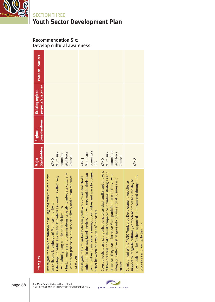

### Recommendation Six: Develop cultural awareness

| <b>Strategies</b>                                                                                                                                                                                                                                                                                                                                                                          | <b>Stakeholders</b><br>Major                           | considerations<br><b>Regional</b> | projects/strategies<br><b>Existing regional</b> | Potential barriers |
|--------------------------------------------------------------------------------------------------------------------------------------------------------------------------------------------------------------------------------------------------------------------------------------------------------------------------------------------------------------------------------------------|--------------------------------------------------------|-----------------------------------|-------------------------------------------------|--------------------|
| · build managers and organisations capacity to integrate culturally<br>Investigate the implementation of skilling programs that can draw<br>competent processes into service delivery and human resource<br>· develop individuals skills and knowledge in working effectively<br>on skills and knowledge of Murri community to:<br>with Murri young people and their families<br>practices | committee<br>Workforce<br>Murri sub<br>Council<br>YANQ |                                   |                                                 |                    |
| communities to increase learning opportunities and ways to connect<br>embedded in the way Murri services and workers work in their own<br>Investigate the similarities between youth work values and those<br>better between the two parts of the sector                                                                                                                                   | committee<br>Murri sub<br>YANQ<br><b>IRG</b>           |                                   |                                                 |                    |
| Develop tools to assist organisations to conduct audits and analysis<br>of their organisational cultural competence including strategies and<br>processes they use to increase Murri participation with the view to<br>integrating effective strategies into organisational business and<br>culture                                                                                        | committee<br>Workforce<br>Murri sub<br>Council<br>YANQ |                                   |                                                 |                    |
| day practice can be further supported and resourced through this<br>support to integrate culturally competent processes into day to<br>Development of the YANQ Workforce Development website to<br>process as a follow up to training                                                                                                                                                      | YANQ                                                   |                                   |                                                 |                    |

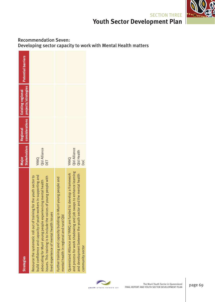

### Recommendation Seven: Developing sector capacity to work with Mental Health matters

| <b>Strategies</b>                                                                                                                                                                                                                                                                                                             | Major                                            | <b>Regional</b> | Stakeholders considerations projects/strategies<br><b>Existing regional</b> | <b>Potential barriers</b> |
|-------------------------------------------------------------------------------------------------------------------------------------------------------------------------------------------------------------------------------------------------------------------------------------------------------------------------------|--------------------------------------------------|-----------------|-----------------------------------------------------------------------------|---------------------------|
| build confidence and capacity of youth workers in supporting and<br>Resource the systematic roll out of training for the youth sector to<br>of young people with<br>advocating for Murri young people experiencing mental health<br>ssues. This training is to include the voices<br>lived experience of mental health issues | Qld Alliance<br>YANQ<br>DET                      |                 |                                                                             |                           |
| Further training and capacity building in Murri young people and<br>mental health in regional and rural Qld                                                                                                                                                                                                                   |                                                  |                 |                                                                             |                           |
| and process for work shadowing and job swaps to enhance learning<br>Queensland Alliance and YANQ are funded to develop a framework<br>and the mental health<br>and development between the youth sector<br>community sector                                                                                                   | Qld Alliance<br>Qld Health<br>YANQ<br><b>DoC</b> |                 |                                                                             |                           |

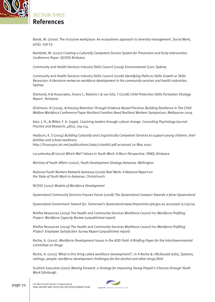

SECTION THREE

# **References**

Barak, M. (2000). The inclusive workplace: An ecosystems approach to diversity management. *Social Work, 45*(4), 339-53*.* 

Bamblett, M. (2007) *Creating a Culturally Competent Service System for Prevention and Early Intervention. Conference Paper*. QCOSS Brisbane

Community and Health Services Industry Skills Council (2009) *Environmental Scan*. Sydney

Community and Health Services Industry Skills Council (2008) *Identifying Paths to Skills Growth or Skills Recession: A literature review on workforce development in the community services and health industries*. Sydney

Diamond, A & Associates, Ovens C, Roberts L & van Gils, T (2008) *Child Protection Skills Formation Strategy Report* . Brisbane

Dickinson, N (2009), *Achieving Retention Through Evidence Based Practices Building Resilience in The Child Welfare Workforce* Conference Paper Resilient Families Need Resilient Workers Symposium, Melbourne 2009

Katz, J. H., & Miller, F. A. (1996). Coaching leaders through culture change. *Consulting Psychology Journal: Practice and Research, 48*(2), 104-114.

Hepburn, K. S (2004) *Building Culturally and Linguistically Competent Services to support young children, their families and school readiness*. http://linux1900.dn.net/publications/data/cctoolkit.pdf accessed 20 May 2007.

Lucushenko,M (2010) *Which Wei? Values in Youth Work: A Murri Perspective*. YANQ. Brisbane

Ministry of Youth Affairs (2002), *Youth Development Strategy Aotearoa*. Wellington

National Youth Workers Network Aotearoa (2006) *Real Work: A National Report on the State of Youth Work in Aotearoa*. Christchurch

NCOSS (2007) *Models of Workforce Development*

Queensland Community Services Futures Forum (2008) *The Queensland Compact Towards a fairer Queensland*

Queensland Government *Toward Q2: Tomorrow's Queensland* www.thepremier.qld.gov.au accessed 17/09/09

Rimfire Resources (2009) The Health and Community Services Workforce Council Inc Workforce Profiling *Project- Workforce Capacity Review* (unpublished report)

Rimfire Resources (2009) The Health and Community Services Workforce Council Inc Workforce Profiling *Project- Employee Satisfaction Survey Report* (unpublished report)

Roche, A. (2002). *Workforce Development Issues in the AOD Field: A Briefing Paper for the InterGovernmental Committee on Drugs* 

Roche, A. (2001) 'What is this thing called workforce development?', in A Roche & J McDonald (eds), *Systems,*  settings, people: workforce development challenges for the alcohol and other drugs field

Scottish Executive (2007) *Moving Forward- a Strategy for Improving Young People's Chances through Youth Work* Edinburgh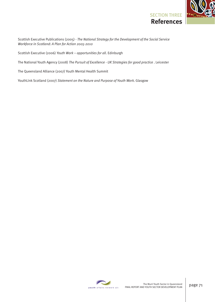

Scottish Executive Publications (2005) - *The National Strategy for the Development of the Social Service Workforce in Scotland: A Plan for Action 2005-2010*

Scottish Executive (2006) *Youth Work – opportunities for all*. Edinburgh

The National Youth Agency (2008) *The Pursuit of Excellence - UK Strategies for good practice* . Leicester

The Queensland Alliance (2007) Youth Mental Health Summit

YouthLink Scotland (2007) *Statement on the Nature and Purpose of Youth Work*. Glasgow

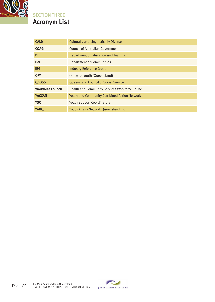

# **Acronym List** SECTION THREE

| <b>CALD</b>              | <b>Culturally and Linguistically Diverse</b>       |
|--------------------------|----------------------------------------------------|
| <b>COAG</b>              | Council of Australian Governments                  |
| <b>DET</b>               | Department of Education and Training               |
| DoC                      | <b>Department of Communities</b>                   |
| <b>IRG</b>               | <b>Industry Reference Group</b>                    |
| <b>OFY</b>               | Office for Youth (Queensland)                      |
| <b>QCOSS</b>             | <b>Queensland Council of Social Service</b>        |
| <b>Workforce Council</b> | Health and Community Services Workforce Council    |
| <b>YACCAN</b>            | <b>Youth and Community Combined Action Network</b> |
| <b>YSC</b>               | <b>Youth Support Coordinators</b>                  |
| <b>YANQ</b>              | Youth Affairs Network Queensland Inc               |

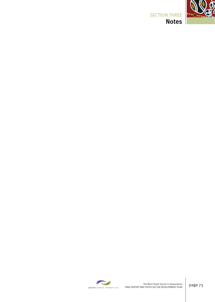

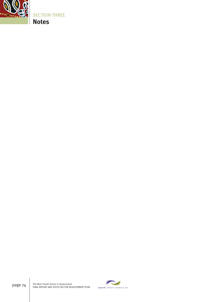

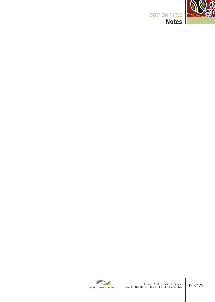